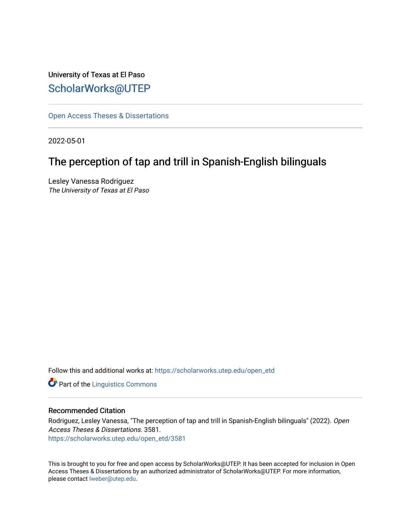# University of Texas at El Paso [ScholarWorks@UTEP](https://scholarworks.utep.edu/)

[Open Access Theses & Dissertations](https://scholarworks.utep.edu/open_etd) 

2022-05-01

# The perception of tap and trill in Spanish-English bilinguals

Lesley Vanessa Rodriguez The University of Texas at El Paso

Follow this and additional works at: [https://scholarworks.utep.edu/open\\_etd](https://scholarworks.utep.edu/open_etd?utm_source=scholarworks.utep.edu%2Fopen_etd%2F3581&utm_medium=PDF&utm_campaign=PDFCoverPages)

**Part of the Linguistics Commons** 

### Recommended Citation

Rodriguez, Lesley Vanessa, "The perception of tap and trill in Spanish-English bilinguals" (2022). Open Access Theses & Dissertations. 3581. [https://scholarworks.utep.edu/open\\_etd/3581](https://scholarworks.utep.edu/open_etd/3581?utm_source=scholarworks.utep.edu%2Fopen_etd%2F3581&utm_medium=PDF&utm_campaign=PDFCoverPages) 

This is brought to you for free and open access by ScholarWorks@UTEP. It has been accepted for inclusion in Open Access Theses & Dissertations by an authorized administrator of ScholarWorks@UTEP. For more information, please contact [lweber@utep.edu.](mailto:lweber@utep.edu)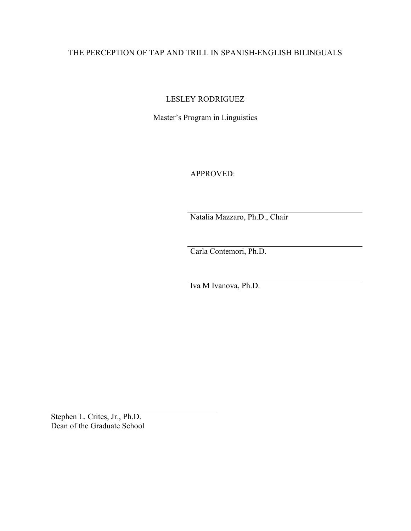# THE PERCEPTION OF TAP AND TRILL IN SPANISH-ENGLISH BILINGUALS

LESLEY RODRIGUEZ

Master's Program in Linguistics

APPROVED:

Natalia Mazzaro, Ph.D., Chair

Carla Contemori, Ph.D.

Iva M Ivanova, Ph.D.

Stephen L. Crites, Jr., Ph.D. Dean of the Graduate School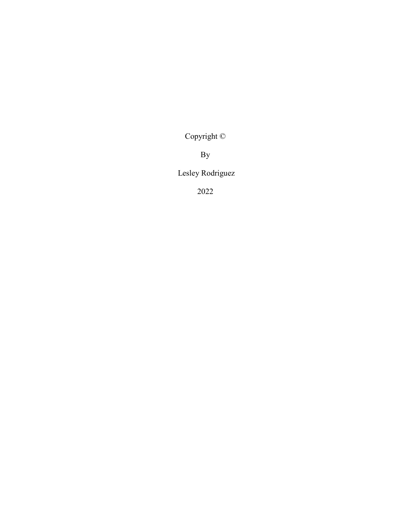Copyright ©

By

Lesley Rodriguez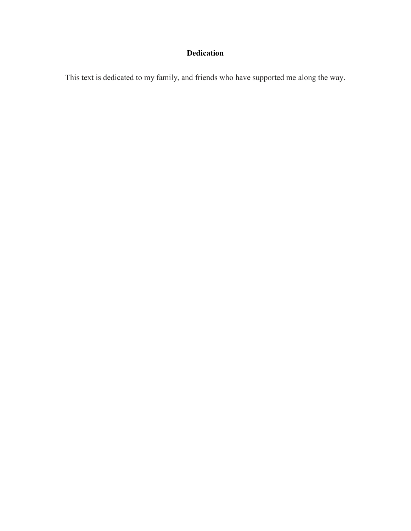# **Dedication**

This text is dedicated to my family, and friends who have supported me along the way.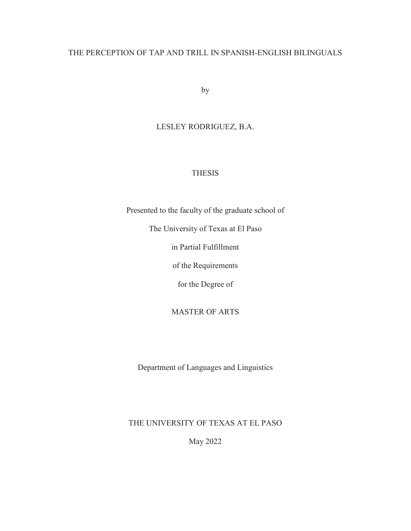# THE PERCEPTION OF TAP AND TRILL IN SPANISH-ENGLISH BILINGUALS

by

# LESLEY RODRIGUEZ, B.A.

# THESIS

Presented to the faculty of the graduate school of

The University of Texas at El Paso

in Partial Fulfillment

of the Requirements

for the Degree of

MASTER OF ARTS

Department of Languages and Linguistics

THE UNIVERSITY OF TEXAS AT EL PASO

May 2022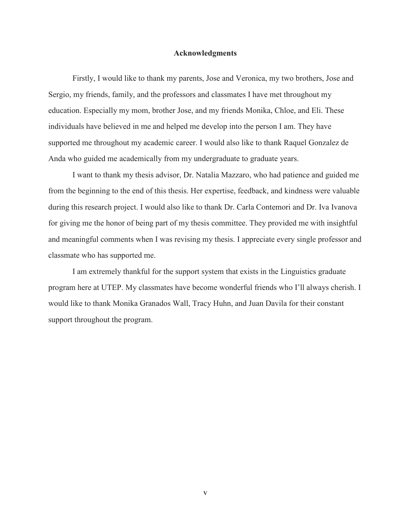#### **Acknowledgments**

Firstly, I would like to thank my parents, Jose and Veronica, my two brothers, Jose and Sergio, my friends, family, and the professors and classmates I have met throughout my education. Especially my mom, brother Jose, and my friends Monika, Chloe, and Eli. These individuals have believed in me and helped me develop into the person I am. They have supported me throughout my academic career. I would also like to thank Raquel Gonzalez de Anda who guided me academically from my undergraduate to graduate years.

I want to thank my thesis advisor, Dr. Natalia Mazzaro, who had patience and guided me from the beginning to the end of this thesis. Her expertise, feedback, and kindness were valuable during this research project. I would also like to thank Dr. Carla Contemori and Dr. Iva Ivanova for giving me the honor of being part of my thesis committee. They provided me with insightful and meaningful comments when I was revising my thesis. I appreciate every single professor and classmate who has supported me.

I am extremely thankful for the support system that exists in the Linguistics graduate program here at UTEP. My classmates have become wonderful friends who I'll always cherish. I would like to thank Monika Granados Wall, Tracy Huhn, and Juan Davila for their constant support throughout the program.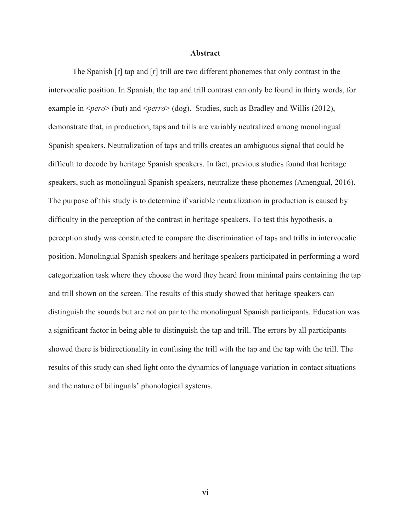#### **Abstract**

The Spanish [ɾ] tap and [r] trill are two different phonemes that only contrast in the intervocalic position. In Spanish, the tap and trill contrast can only be found in thirty words, for example in <*pero*> (but) and <*perro*> (dog). Studies, such as Bradley and Willis (2012), demonstrate that, in production, taps and trills are variably neutralized among monolingual Spanish speakers. Neutralization of taps and trills creates an ambiguous signal that could be difficult to decode by heritage Spanish speakers. In fact, previous studies found that heritage speakers, such as monolingual Spanish speakers, neutralize these phonemes (Amengual, 2016). The purpose of this study is to determine if variable neutralization in production is caused by difficulty in the perception of the contrast in heritage speakers. To test this hypothesis, a perception study was constructed to compare the discrimination of taps and trills in intervocalic position. Monolingual Spanish speakers and heritage speakers participated in performing a word categorization task where they choose the word they heard from minimal pairs containing the tap and trill shown on the screen. The results of this study showed that heritage speakers can distinguish the sounds but are not on par to the monolingual Spanish participants. Education was a significant factor in being able to distinguish the tap and trill. The errors by all participants showed there is bidirectionality in confusing the trill with the tap and the tap with the trill. The results of this study can shed light onto the dynamics of language variation in contact situations and the nature of bilinguals' phonological systems.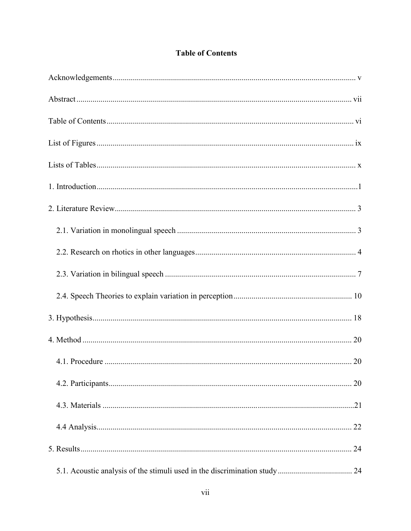| <b>Table of Contents</b> |
|--------------------------|
|                          |

| 20 |
|----|
|    |
|    |
| 24 |
|    |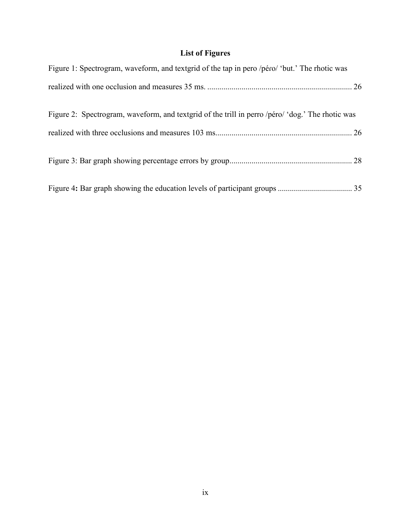# **List of Figures**

| Figure 1: Spectrogram, waveform, and textgrid of the tap in pero /péro/ 'but.' The rhotic was    |
|--------------------------------------------------------------------------------------------------|
|                                                                                                  |
|                                                                                                  |
| Figure 2: Spectrogram, waveform, and textgrid of the trill in perro /péro/ 'dog.' The rhotic was |
|                                                                                                  |
|                                                                                                  |
|                                                                                                  |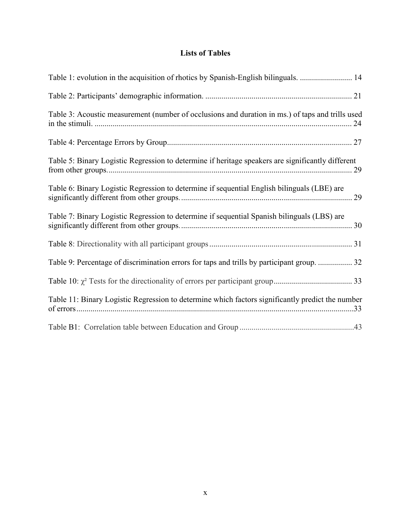# **Lists of Tables**

| Table 1: evolution in the acquisition of rhotics by Spanish-English bilinguals.  14               |  |
|---------------------------------------------------------------------------------------------------|--|
|                                                                                                   |  |
| Table 3: Acoustic measurement (number of occlusions and duration in ms.) of taps and trills used  |  |
|                                                                                                   |  |
| Table 5: Binary Logistic Regression to determine if heritage speakers are significantly different |  |
| Table 6: Binary Logistic Regression to determine if sequential English bilinguals (LBE) are       |  |
| Table 7: Binary Logistic Regression to determine if sequential Spanish bilinguals (LBS) are       |  |
|                                                                                                   |  |
| Table 9: Percentage of discrimination errors for taps and trills by participant group.  32        |  |
|                                                                                                   |  |
| Table 11: Binary Logistic Regression to determine which factors significantly predict the number  |  |
|                                                                                                   |  |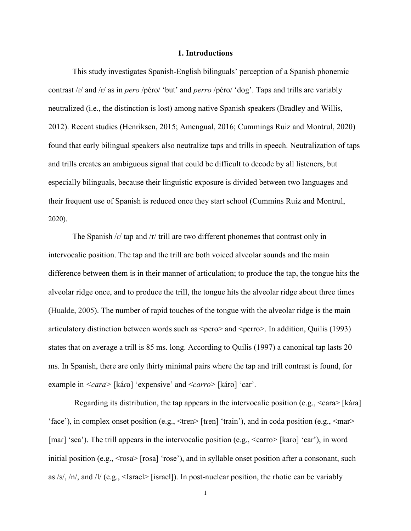#### **1. Introductions**

This study investigates Spanish-English bilinguals' perception of a Spanish phonemic contrast /ɾ/ and /r/ as in *pero* /péɾo/ 'but' and *perro* /péro/ 'dog'. Taps and trills are variably neutralized (i.e., the distinction is lost) among native Spanish speakers (Bradley and Willis, 2012). Recent studies (Henriksen, 2015; Amengual, 2016; Cummings Ruiz and Montrul, 2020) found that early bilingual speakers also neutralize taps and trills in speech. Neutralization of taps and trills creates an ambiguous signal that could be difficult to decode by all listeners, but especially bilinguals, because their linguistic exposure is divided between two languages and their frequent use of Spanish is reduced once they start school (Cummins Ruiz and Montrul, 2020).

The Spanish  $/r$  tap and  $/r$  trill are two different phonemes that contrast only in intervocalic position. The tap and the trill are both voiced alveolar sounds and the main difference between them is in their manner of articulation; to produce the tap, the tongue hits the alveolar ridge once, and to produce the trill, the tongue hits the alveolar ridge about three times (Hualde, 2005). The number of rapid touches of the tongue with the alveolar ridge is the main articulatory distinction between words such as  $\langle \text{pero}\rangle$  and  $\langle \text{pero}\rangle$ . In addition, Quilis (1993) states that on average a trill is 85 ms. long. According to Quilis (1997) a canonical tap lasts 20 ms. In Spanish, there are only thirty minimal pairs where the tap and trill contrast is found, for example in *<cara>* [káɾo] 'expensive' and <*carro*> [káro] 'car'.

Regarding its distribution, the tap appears in the intervocalic position (e.g.,  $\leq$ cara> [kára] 'face'), in complex onset position (e.g.,  $\langle$ tren $\rangle$  [tren] 'train'), and in coda position (e.g.,  $\langle$ mar $\rangle$ [mar] 'sea'). The trill appears in the intervocalic position (e.g.,  $\langle \text{carro} \rangle$  [karo] 'car'), in word initial position (e.g.,  $\langle$ rosa $\rangle$  [rosa] 'rose'), and in syllable onset position after a consonant, such as  $\frac{s}{s}$ ,  $\frac{n}{s}$ , and  $\frac{n}{s}$  (e.g.,  $\leq$ Israel $\geq$  [israel]). In post-nuclear position, the rhotic can be variably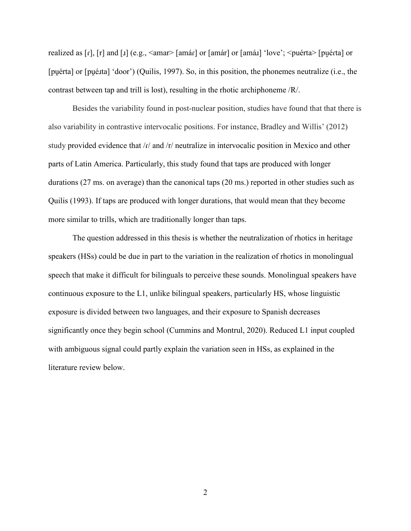realized as [ɾ], [r] and [ɹ] (e.g., <amar> [amáɾ] or [amár] or [amáɹ] 'love'; <puérta> [pu̯éɾta] or [puérta] or [pué*xta]* 'door') (Quilis, 1997). So, in this position, the phonemes neutralize (i.e., the contrast between tap and trill is lost), resulting in the rhotic archiphoneme /R/.

Besides the variability found in post-nuclear position, studies have found that that there is also variability in contrastive intervocalic positions. For instance, Bradley and Willis' (2012) study provided evidence that /r/ and /r/ neutralize in intervocalic position in Mexico and other parts of Latin America. Particularly, this study found that taps are produced with longer durations (27 ms. on average) than the canonical taps (20 ms.) reported in other studies such as Quilis (1993). If taps are produced with longer durations, that would mean that they become more similar to trills, which are traditionally longer than taps.

The question addressed in this thesis is whether the neutralization of rhotics in heritage speakers (HSs) could be due in part to the variation in the realization of rhotics in monolingual speech that make it difficult for bilinguals to perceive these sounds. Monolingual speakers have continuous exposure to the L1, unlike bilingual speakers, particularly HS, whose linguistic exposure is divided between two languages, and their exposure to Spanish decreases significantly once they begin school (Cummins and Montrul, 2020). Reduced L1 input coupled with ambiguous signal could partly explain the variation seen in HSs, as explained in the literature review below.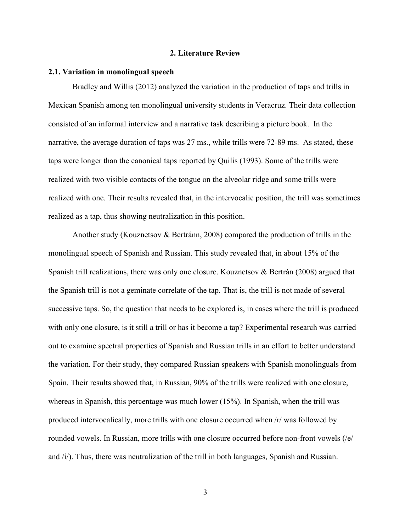#### **2. Literature Review**

#### **2.1. Variation in monolingual speech**

Bradley and Willis (2012) analyzed the variation in the production of taps and trills in Mexican Spanish among ten monolingual university students in Veracruz. Their data collection consisted of an informal interview and a narrative task describing a picture book. In the narrative, the average duration of taps was 27 ms., while trills were 72-89 ms. As stated, these taps were longer than the canonical taps reported by Quilis (1993). Some of the trills were realized with two visible contacts of the tongue on the alveolar ridge and some trills were realized with one. Their results revealed that, in the intervocalic position, the trill was sometimes realized as a tap, thus showing neutralization in this position.

Another study (Kouznetsov & Bertránn, 2008) compared the production of trills in the monolingual speech of Spanish and Russian. This study revealed that, in about 15% of the Spanish trill realizations, there was only one closure. Kouznetsov & Bertrán (2008) argued that the Spanish trill is not a geminate correlate of the tap. That is, the trill is not made of several successive taps. So, the question that needs to be explored is, in cases where the trill is produced with only one closure, is it still a trill or has it become a tap? Experimental research was carried out to examine spectral properties of Spanish and Russian trills in an effort to better understand the variation. For their study, they compared Russian speakers with Spanish monolinguals from Spain. Their results showed that, in Russian, 90% of the trills were realized with one closure, whereas in Spanish, this percentage was much lower (15%). In Spanish, when the trill was produced intervocalically, more trills with one closure occurred when /r/ was followed by rounded vowels. In Russian, more trills with one closure occurred before non-front vowels (/e/ and /i/). Thus, there was neutralization of the trill in both languages, Spanish and Russian.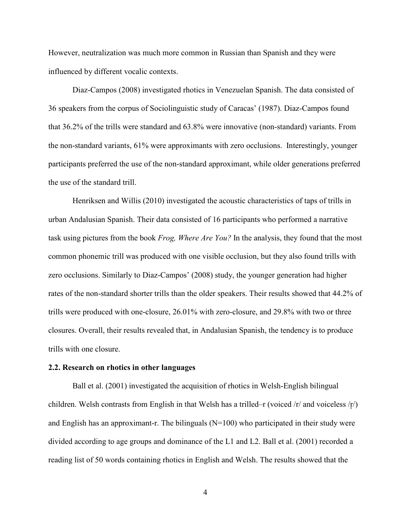However, neutralization was much more common in Russian than Spanish and they were influenced by different vocalic contexts.

Diaz-Campos (2008) investigated rhotics in Venezuelan Spanish. The data consisted of 36 speakers from the corpus of Sociolinguistic study of Caracas' (1987). Diaz-Campos found that 36.2% of the trills were standard and 63.8% were innovative (non-standard) variants. From the non-standard variants, 61% were approximants with zero occlusions. Interestingly, younger participants preferred the use of the non-standard approximant, while older generations preferred the use of the standard trill.

Henriksen and Willis (2010) investigated the acoustic characteristics of taps of trills in urban Andalusian Spanish. Their data consisted of 16 participants who performed a narrative task using pictures from the book *Frog, Where Are You?* In the analysis, they found that the most common phonemic trill was produced with one visible occlusion, but they also found trills with zero occlusions. Similarly to Diaz-Campos' (2008) study, the younger generation had higher rates of the non-standard shorter trills than the older speakers. Their results showed that 44.2% of trills were produced with one-closure, 26.01% with zero-closure, and 29.8% with two or three closures. Overall, their results revealed that, in Andalusian Spanish, the tendency is to produce trills with one closure.

# **2.2. Research on rhotics in other languages**

Ball et al. (2001) investigated the acquisition of rhotics in Welsh-English bilingual children. Welsh contrasts from English in that Welsh has a trilled–r (voiced  $\pi/$  and voiceless  $\pi/$ ) and English has an approximant-r. The bilinguals  $(N=100)$  who participated in their study were divided according to age groups and dominance of the L1 and L2. Ball et al. (2001) recorded a reading list of 50 words containing rhotics in English and Welsh. The results showed that the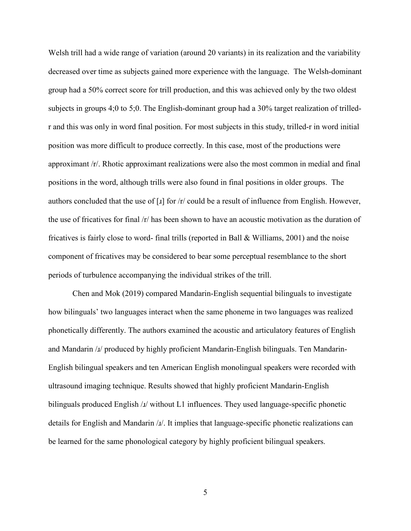Welsh trill had a wide range of variation (around 20 variants) in its realization and the variability decreased over time as subjects gained more experience with the language. The Welsh-dominant group had a 50% correct score for trill production, and this was achieved only by the two oldest subjects in groups 4;0 to 5;0. The English-dominant group had a 30% target realization of trilledr and this was only in word final position. For most subjects in this study, trilled-r in word initial position was more difficult to produce correctly. In this case, most of the productions were approximant /r/. Rhotic approximant realizations were also the most common in medial and final positions in the word, although trills were also found in final positions in older groups. The authors concluded that the use of  $\lceil x \rceil$  for  $\lceil x \rceil$  could be a result of influence from English. However, the use of fricatives for final /r/ has been shown to have an acoustic motivation as the duration of fricatives is fairly close to word- final trills (reported in Ball & Williams, 2001) and the noise component of fricatives may be considered to bear some perceptual resemblance to the short periods of turbulence accompanying the individual strikes of the trill.

Chen and Mok (2019) compared Mandarin-English sequential bilinguals to investigate how bilinguals' two languages interact when the same phoneme in two languages was realized phonetically differently. The authors examined the acoustic and articulatory features of English and Mandarin /ɹ/ produced by highly proficient Mandarin-English bilinguals. Ten Mandarin-English bilingual speakers and ten American English monolingual speakers were recorded with ultrasound imaging technique. Results showed that highly proficient Mandarin-English bilinguals produced English / $\mu$ / without L1 influences. They used language-specific phonetic details for English and Mandarin / $I$ /. It implies that language-specific phonetic realizations can be learned for the same phonological category by highly proficient bilingual speakers.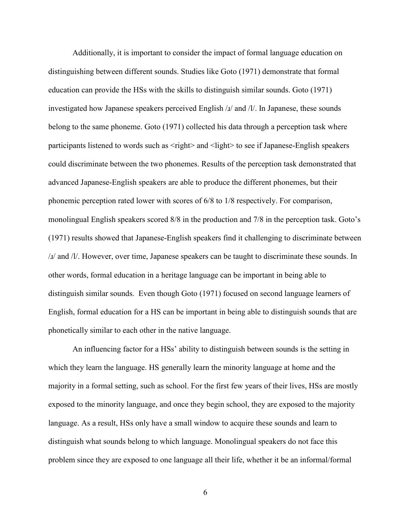Additionally, it is important to consider the impact of formal language education on distinguishing between different sounds. Studies like Goto (1971) demonstrate that formal education can provide the HSs with the skills to distinguish similar sounds. Goto (1971) investigated how Japanese speakers perceived English  $\lambda/\lambda$  and  $\lambda/\lambda$ . In Japanese, these sounds belong to the same phoneme. Goto (1971) collected his data through a perception task where participants listened to words such as <right> and <light> to see if Japanese-English speakers could discriminate between the two phonemes. Results of the perception task demonstrated that advanced Japanese-English speakers are able to produce the different phonemes, but their phonemic perception rated lower with scores of 6/8 to 1/8 respectively. For comparison, monolingual English speakers scored 8/8 in the production and 7/8 in the perception task. Goto's (1971) results showed that Japanese-English speakers find it challenging to discriminate between /ɹ/ and /l/. However, over time, Japanese speakers can be taught to discriminate these sounds. In other words, formal education in a heritage language can be important in being able to distinguish similar sounds. Even though Goto (1971) focused on second language learners of English, formal education for a HS can be important in being able to distinguish sounds that are phonetically similar to each other in the native language.

An influencing factor for a HSs' ability to distinguish between sounds is the setting in which they learn the language. HS generally learn the minority language at home and the majority in a formal setting, such as school. For the first few years of their lives, HSs are mostly exposed to the minority language, and once they begin school, they are exposed to the majority language. As a result, HSs only have a small window to acquire these sounds and learn to distinguish what sounds belong to which language. Monolingual speakers do not face this problem since they are exposed to one language all their life, whether it be an informal/formal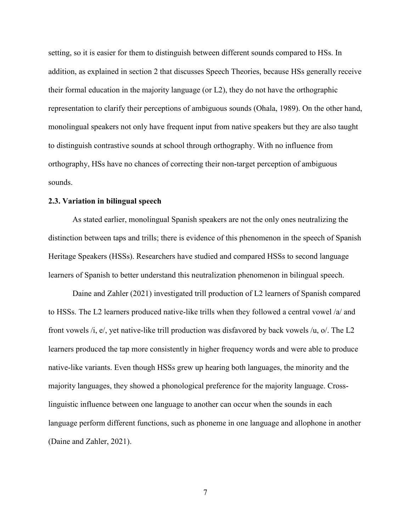setting, so it is easier for them to distinguish between different sounds compared to HSs. In addition, as explained in section 2 that discusses Speech Theories, because HSs generally receive their formal education in the majority language (or L2), they do not have the orthographic representation to clarify their perceptions of ambiguous sounds (Ohala, 1989). On the other hand, monolingual speakers not only have frequent input from native speakers but they are also taught to distinguish contrastive sounds at school through orthography. With no influence from orthography, HSs have no chances of correcting their non-target perception of ambiguous sounds.

#### **2.3. Variation in bilingual speech**

As stated earlier, monolingual Spanish speakers are not the only ones neutralizing the distinction between taps and trills; there is evidence of this phenomenon in the speech of Spanish Heritage Speakers (HSSs). Researchers have studied and compared HSSs to second language learners of Spanish to better understand this neutralization phenomenon in bilingual speech.

Daine and Zahler (2021) investigated trill production of L2 learners of Spanish compared to HSSs. The L2 learners produced native-like trills when they followed a central vowel /a/ and front vowels /i, e/, yet native-like trill production was disfavored by back vowels /u, o/. The L2 learners produced the tap more consistently in higher frequency words and were able to produce native-like variants. Even though HSSs grew up hearing both languages, the minority and the majority languages, they showed a phonological preference for the majority language. Crosslinguistic influence between one language to another can occur when the sounds in each language perform different functions, such as phoneme in one language and allophone in another (Daine and Zahler, 2021).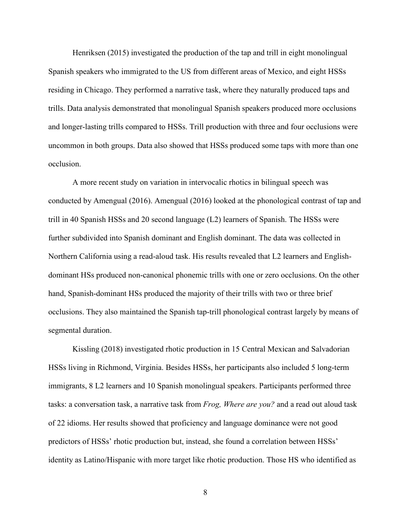Henriksen (2015) investigated the production of the tap and trill in eight monolingual Spanish speakers who immigrated to the US from different areas of Mexico, and eight HSSs residing in Chicago. They performed a narrative task, where they naturally produced taps and trills. Data analysis demonstrated that monolingual Spanish speakers produced more occlusions and longer-lasting trills compared to HSSs. Trill production with three and four occlusions were uncommon in both groups. Data also showed that HSSs produced some taps with more than one occlusion.

A more recent study on variation in intervocalic rhotics in bilingual speech was conducted by Amengual (2016). Amengual (2016) looked at the phonological contrast of tap and trill in 40 Spanish HSSs and 20 second language (L2) learners of Spanish. The HSSs were further subdivided into Spanish dominant and English dominant. The data was collected in Northern California using a read-aloud task. His results revealed that L2 learners and Englishdominant HSs produced non-canonical phonemic trills with one or zero occlusions. On the other hand, Spanish-dominant HSs produced the majority of their trills with two or three brief occlusions. They also maintained the Spanish tap-trill phonological contrast largely by means of segmental duration.

Kissling (2018) investigated rhotic production in 15 Central Mexican and Salvadorian HSSs living in Richmond, Virginia. Besides HSSs, her participants also included 5 long-term immigrants, 8 L2 learners and 10 Spanish monolingual speakers. Participants performed three tasks: a conversation task, a narrative task from *Frog, Where are you?* and a read out aloud task of 22 idioms. Her results showed that proficiency and language dominance were not good predictors of HSSs' rhotic production but, instead, she found a correlation between HSSs' identity as Latino/Hispanic with more target like rhotic production. Those HS who identified as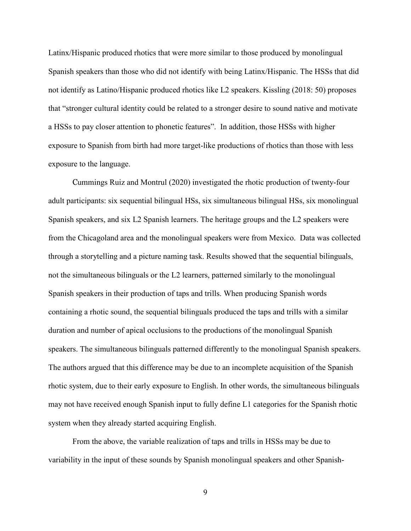Latinx/Hispanic produced rhotics that were more similar to those produced by monolingual Spanish speakers than those who did not identify with being Latinx/Hispanic. The HSSs that did not identify as Latino/Hispanic produced rhotics like L2 speakers. Kissling (2018: 50) proposes that "stronger cultural identity could be related to a stronger desire to sound native and motivate a HSSs to pay closer attention to phonetic features". In addition, those HSSs with higher exposure to Spanish from birth had more target-like productions of rhotics than those with less exposure to the language.

Cummings Ruiz and Montrul (2020) investigated the rhotic production of twenty-four adult participants: six sequential bilingual HSs, six simultaneous bilingual HSs, six monolingual Spanish speakers, and six L2 Spanish learners. The heritage groups and the L2 speakers were from the Chicagoland area and the monolingual speakers were from Mexico. Data was collected through a storytelling and a picture naming task. Results showed that the sequential bilinguals, not the simultaneous bilinguals or the L2 learners, patterned similarly to the monolingual Spanish speakers in their production of taps and trills. When producing Spanish words containing a rhotic sound, the sequential bilinguals produced the taps and trills with a similar duration and number of apical occlusions to the productions of the monolingual Spanish speakers. The simultaneous bilinguals patterned differently to the monolingual Spanish speakers. The authors argued that this difference may be due to an incomplete acquisition of the Spanish rhotic system, due to their early exposure to English. In other words, the simultaneous bilinguals may not have received enough Spanish input to fully define L1 categories for the Spanish rhotic system when they already started acquiring English.

From the above, the variable realization of taps and trills in HSSs may be due to variability in the input of these sounds by Spanish monolingual speakers and other Spanish-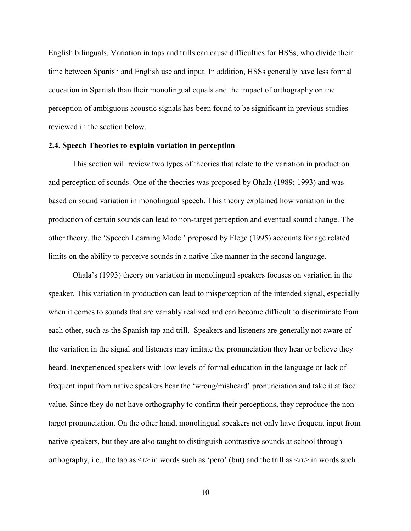English bilinguals. Variation in taps and trills can cause difficulties for HSSs, who divide their time between Spanish and English use and input. In addition, HSSs generally have less formal education in Spanish than their monolingual equals and the impact of orthography on the perception of ambiguous acoustic signals has been found to be significant in previous studies reviewed in the section below.

### **2.4. Speech Theories to explain variation in perception**

This section will review two types of theories that relate to the variation in production and perception of sounds. One of the theories was proposed by Ohala (1989; 1993) and was based on sound variation in monolingual speech. This theory explained how variation in the production of certain sounds can lead to non-target perception and eventual sound change. The other theory, the 'Speech Learning Model' proposed by Flege (1995) accounts for age related limits on the ability to perceive sounds in a native like manner in the second language.

Ohala's (1993) theory on variation in monolingual speakers focuses on variation in the speaker. This variation in production can lead to misperception of the intended signal, especially when it comes to sounds that are variably realized and can become difficult to discriminate from each other, such as the Spanish tap and trill. Speakers and listeners are generally not aware of the variation in the signal and listeners may imitate the pronunciation they hear or believe they heard. Inexperienced speakers with low levels of formal education in the language or lack of frequent input from native speakers hear the 'wrong/misheard' pronunciation and take it at face value. Since they do not have orthography to confirm their perceptions, they reproduce the nontarget pronunciation. On the other hand, monolingual speakers not only have frequent input from native speakers, but they are also taught to distinguish contrastive sounds at school through orthography, i.e., the tap as  $\leq r$  in words such as 'pero' (but) and the trill as  $\leq r$  in words such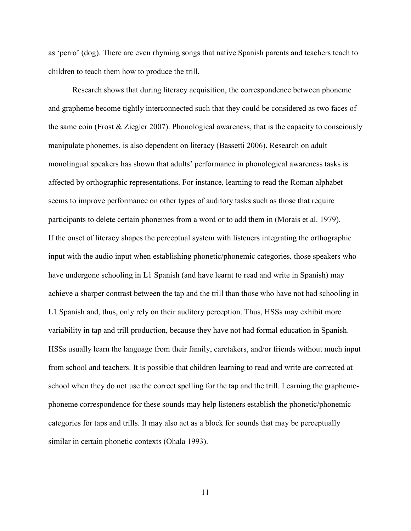as 'perro' (dog). There are even rhyming songs that native Spanish parents and teachers teach to children to teach them how to produce the trill.

Research shows that during literacy acquisition, the correspondence between phoneme and grapheme become tightly interconnected such that they could be considered as two faces of the same coin (Frost & Ziegler 2007). Phonological awareness, that is the capacity to consciously manipulate phonemes, is also dependent on literacy (Bassetti 2006). Research on adult monolingual speakers has shown that adults' performance in phonological awareness tasks is affected by orthographic representations. For instance, learning to read the Roman alphabet seems to improve performance on other types of auditory tasks such as those that require participants to delete certain phonemes from a word or to add them in (Morais et al. 1979). If the onset of literacy shapes the perceptual system with listeners integrating the orthographic input with the audio input when establishing phonetic/phonemic categories, those speakers who have undergone schooling in L1 Spanish (and have learnt to read and write in Spanish) may achieve a sharper contrast between the tap and the trill than those who have not had schooling in L1 Spanish and, thus, only rely on their auditory perception. Thus, HSSs may exhibit more variability in tap and trill production, because they have not had formal education in Spanish. HSSs usually learn the language from their family, caretakers, and/or friends without much input from school and teachers. It is possible that children learning to read and write are corrected at school when they do not use the correct spelling for the tap and the trill. Learning the graphemephoneme correspondence for these sounds may help listeners establish the phonetic/phonemic categories for taps and trills. It may also act as a block for sounds that may be perceptually similar in certain phonetic contexts (Ohala 1993).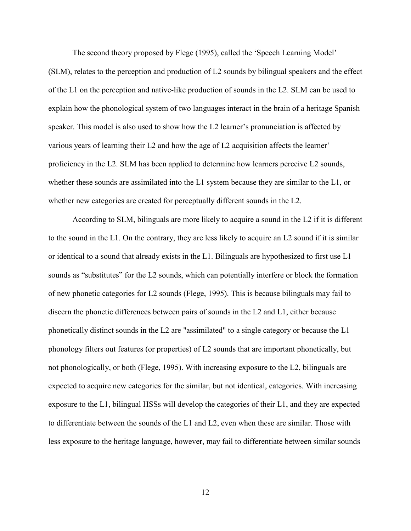The second theory proposed by Flege (1995), called the 'Speech Learning Model' (SLM), relates to the perception and production of L2 sounds by bilingual speakers and the effect of the L1 on the perception and native-like production of sounds in the L2. SLM can be used to explain how the phonological system of two languages interact in the brain of a heritage Spanish speaker. This model is also used to show how the L2 learner's pronunciation is affected by various years of learning their L2 and how the age of L2 acquisition affects the learner' proficiency in the L2. SLM has been applied to determine how learners perceive L2 sounds, whether these sounds are assimilated into the L1 system because they are similar to the L1, or whether new categories are created for perceptually different sounds in the L2.

According to SLM, bilinguals are more likely to acquire a sound in the L2 if it is different to the sound in the L1. On the contrary, they are less likely to acquire an L2 sound if it is similar or identical to a sound that already exists in the L1. Bilinguals are hypothesized to first use L1 sounds as "substitutes" for the L2 sounds, which can potentially interfere or block the formation of new phonetic categories for L2 sounds (Flege, 1995). This is because bilinguals may fail to discern the phonetic differences between pairs of sounds in the L2 and L1, either because phonetically distinct sounds in the L2 are "assimilated" to a single category or because the L1 phonology filters out features (or properties) of L2 sounds that are important phonetically, but not phonologically, or both (Flege, 1995). With increasing exposure to the L2, bilinguals are expected to acquire new categories for the similar, but not identical, categories. With increasing exposure to the L1, bilingual HSSs will develop the categories of their L1, and they are expected to differentiate between the sounds of the L1 and L2, even when these are similar. Those with less exposure to the heritage language, however, may fail to differentiate between similar sounds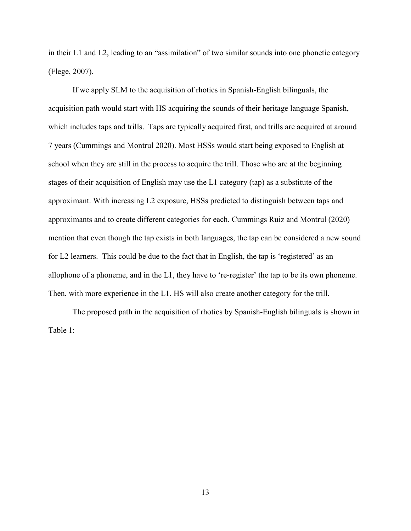in their L1 and L2, leading to an "assimilation" of two similar sounds into one phonetic category (Flege, 2007).

If we apply SLM to the acquisition of rhotics in Spanish-English bilinguals, the acquisition path would start with HS acquiring the sounds of their heritage language Spanish, which includes taps and trills. Taps are typically acquired first, and trills are acquired at around 7 years (Cummings and Montrul 2020). Most HSSs would start being exposed to English at school when they are still in the process to acquire the trill. Those who are at the beginning stages of their acquisition of English may use the L1 category (tap) as a substitute of the approximant. With increasing L2 exposure, HSSs predicted to distinguish between taps and approximants and to create different categories for each. Cummings Ruiz and Montrul (2020) mention that even though the tap exists in both languages, the tap can be considered a new sound for L2 learners. This could be due to the fact that in English, the tap is 'registered' as an allophone of a phoneme, and in the L1, they have to 're-register' the tap to be its own phoneme. Then, with more experience in the L1, HS will also create another category for the trill.

The proposed path in the acquisition of rhotics by Spanish-English bilinguals is shown in Table 1: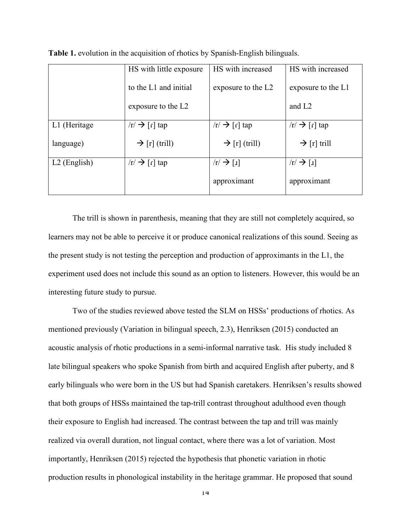|                | HS with little exposure   | HS with increased               | HS with increased                             |
|----------------|---------------------------|---------------------------------|-----------------------------------------------|
|                | to the L1 and initial     | exposure to the L2              | exposure to the L1                            |
|                | exposure to the L2        |                                 | and L <sub>2</sub>                            |
| L1 (Heritage   | $\ln \rightarrow$ [r] tap | $\ln \rightarrow$ [r] tap       | $\vert r \vert \rightarrow \vert r \vert$ tap |
| language)      | $\rightarrow$ [r] (trill) | $\rightarrow$ [r] (trill)       | $\rightarrow$ [r] trill                       |
| $L2$ (English) | $ r  \rightarrow  r $ tap | $\sqrt{r} \rightarrow \sqrt{u}$ | $\sqrt{r} \rightarrow \sqrt{u}$               |
|                |                           | approximant                     | approximant                                   |

**Table 1.** evolution in the acquisition of rhotics by Spanish-English bilinguals.

The trill is shown in parenthesis, meaning that they are still not completely acquired, so learners may not be able to perceive it or produce canonical realizations of this sound. Seeing as the present study is not testing the perception and production of approximants in the L1, the experiment used does not include this sound as an option to listeners. However, this would be an interesting future study to pursue.

Two of the studies reviewed above tested the SLM on HSSs' productions of rhotics. As mentioned previously (Variation in bilingual speech, 2.3), Henriksen (2015) conducted an acoustic analysis of rhotic productions in a semi-informal narrative task. His study included 8 late bilingual speakers who spoke Spanish from birth and acquired English after puberty, and 8 early bilinguals who were born in the US but had Spanish caretakers. Henriksen's results showed that both groups of HSSs maintained the tap-trill contrast throughout adulthood even though their exposure to English had increased. The contrast between the tap and trill was mainly realized via overall duration, not lingual contact, where there was a lot of variation. Most importantly, Henriksen (2015) rejected the hypothesis that phonetic variation in rhotic production results in phonological instability in the heritage grammar. He proposed that sound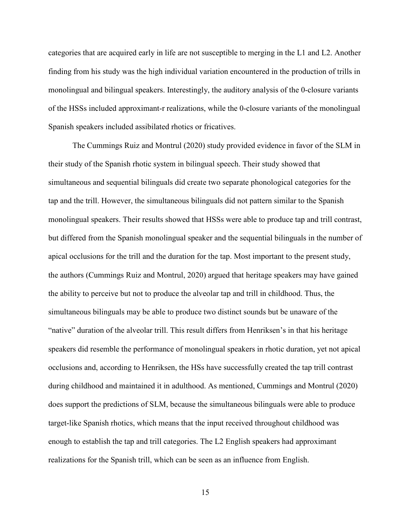categories that are acquired early in life are not susceptible to merging in the L1 and L2. Another finding from his study was the high individual variation encountered in the production of trills in monolingual and bilingual speakers. Interestingly, the auditory analysis of the 0-closure variants of the HSSs included approximant-r realizations, while the 0-closure variants of the monolingual Spanish speakers included assibilated rhotics or fricatives.

The Cummings Ruiz and Montrul (2020) study provided evidence in favor of the SLM in their study of the Spanish rhotic system in bilingual speech. Their study showed that simultaneous and sequential bilinguals did create two separate phonological categories for the tap and the trill. However, the simultaneous bilinguals did not pattern similar to the Spanish monolingual speakers. Their results showed that HSSs were able to produce tap and trill contrast, but differed from the Spanish monolingual speaker and the sequential bilinguals in the number of apical occlusions for the trill and the duration for the tap. Most important to the present study, the authors (Cummings Ruiz and Montrul, 2020) argued that heritage speakers may have gained the ability to perceive but not to produce the alveolar tap and trill in childhood. Thus, the simultaneous bilinguals may be able to produce two distinct sounds but be unaware of the "native" duration of the alveolar trill. This result differs from Henriksen's in that his heritage speakers did resemble the performance of monolingual speakers in rhotic duration, yet not apical occlusions and, according to Henriksen, the HSs have successfully created the tap trill contrast during childhood and maintained it in adulthood. As mentioned, Cummings and Montrul (2020) does support the predictions of SLM, because the simultaneous bilinguals were able to produce target-like Spanish rhotics, which means that the input received throughout childhood was enough to establish the tap and trill categories. The L2 English speakers had approximant realizations for the Spanish trill, which can be seen as an influence from English.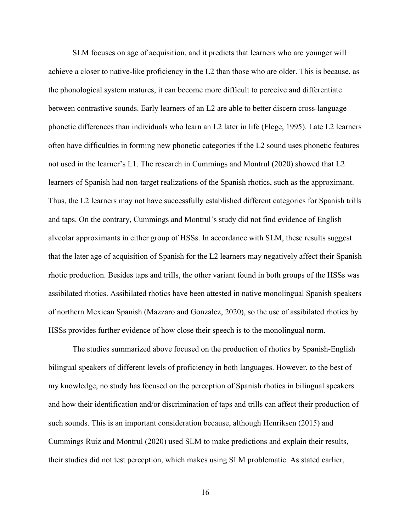SLM focuses on age of acquisition, and it predicts that learners who are younger will achieve a closer to native-like proficiency in the L2 than those who are older. This is because, as the phonological system matures, it can become more difficult to perceive and differentiate between contrastive sounds. Early learners of an L2 are able to better discern cross-language phonetic differences than individuals who learn an L2 later in life (Flege, 1995). Late L2 learners often have difficulties in forming new phonetic categories if the L2 sound uses phonetic features not used in the learner's L1. The research in Cummings and Montrul (2020) showed that L2 learners of Spanish had non-target realizations of the Spanish rhotics, such as the approximant. Thus, the L2 learners may not have successfully established different categories for Spanish trills and taps. On the contrary, Cummings and Montrul's study did not find evidence of English alveolar approximants in either group of HSSs. In accordance with SLM, these results suggest that the later age of acquisition of Spanish for the L2 learners may negatively affect their Spanish rhotic production. Besides taps and trills, the other variant found in both groups of the HSSs was assibilated rhotics. Assibilated rhotics have been attested in native monolingual Spanish speakers of northern Mexican Spanish (Mazzaro and Gonzalez, 2020), so the use of assibilated rhotics by HSSs provides further evidence of how close their speech is to the monolingual norm.

The studies summarized above focused on the production of rhotics by Spanish-English bilingual speakers of different levels of proficiency in both languages. However, to the best of my knowledge, no study has focused on the perception of Spanish rhotics in bilingual speakers and how their identification and/or discrimination of taps and trills can affect their production of such sounds. This is an important consideration because, although Henriksen (2015) and Cummings Ruiz and Montrul (2020) used SLM to make predictions and explain their results, their studies did not test perception, which makes using SLM problematic. As stated earlier,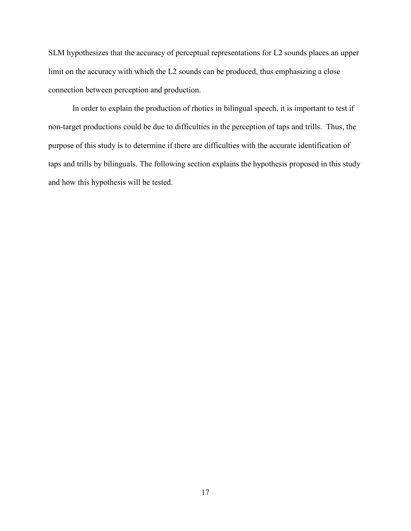SLM hypothesizes that the accuracy of perceptual representations for L2 sounds places an upper limit on the accuracy with which the L2 sounds can be produced, thus emphasizing a close connection between perception and production.

In order to explain the production of rhotics in bilingual speech, it is important to test if non-target productions could be due to difficulties in the perception of taps and trills. Thus, the purpose of this study is to determine if there are difficulties with the accurate identification of taps and trills by bilinguals. The following section explains the hypothesis proposed in this study and how this hypothesis will be tested.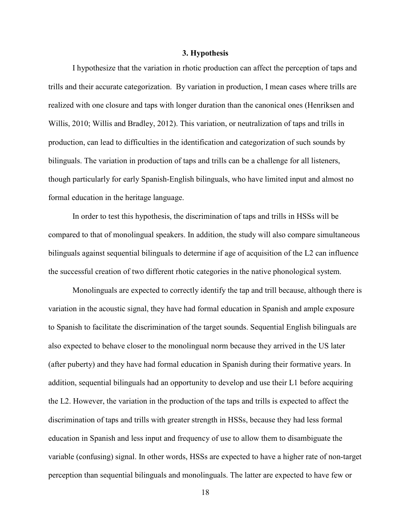#### **3. Hypothesis**

I hypothesize that the variation in rhotic production can affect the perception of taps and trills and their accurate categorization. By variation in production, I mean cases where trills are realized with one closure and taps with longer duration than the canonical ones (Henriksen and Willis, 2010; Willis and Bradley, 2012). This variation, or neutralization of taps and trills in production, can lead to difficulties in the identification and categorization of such sounds by bilinguals. The variation in production of taps and trills can be a challenge for all listeners, though particularly for early Spanish-English bilinguals, who have limited input and almost no formal education in the heritage language.

In order to test this hypothesis, the discrimination of taps and trills in HSSs will be compared to that of monolingual speakers. In addition, the study will also compare simultaneous bilinguals against sequential bilinguals to determine if age of acquisition of the L2 can influence the successful creation of two different rhotic categories in the native phonological system.

Monolinguals are expected to correctly identify the tap and trill because, although there is variation in the acoustic signal, they have had formal education in Spanish and ample exposure to Spanish to facilitate the discrimination of the target sounds. Sequential English bilinguals are also expected to behave closer to the monolingual norm because they arrived in the US later (after puberty) and they have had formal education in Spanish during their formative years. In addition, sequential bilinguals had an opportunity to develop and use their L1 before acquiring the L2. However, the variation in the production of the taps and trills is expected to affect the discrimination of taps and trills with greater strength in HSSs, because they had less formal education in Spanish and less input and frequency of use to allow them to disambiguate the variable (confusing) signal. In other words, HSSs are expected to have a higher rate of non-target perception than sequential bilinguals and monolinguals. The latter are expected to have few or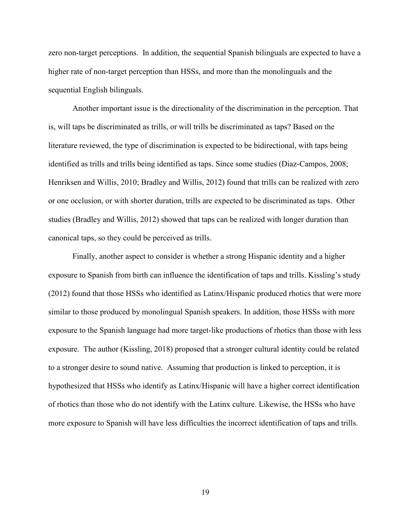zero non-target perceptions. In addition, the sequential Spanish bilinguals are expected to have a higher rate of non-target perception than HSSs, and more than the monolinguals and the sequential English bilinguals.

Another important issue is the directionality of the discrimination in the perception. That is, will taps be discriminated as trills, or will trills be discriminated as taps? Based on the literature reviewed, the type of discrimination is expected to be bidirectional, with taps being identified as trills and trills being identified as taps. Since some studies (Diaz-Campos, 2008; Henriksen and Willis, 2010; Bradley and Willis, 2012) found that trills can be realized with zero or one occlusion, or with shorter duration, trills are expected to be discriminated as taps. Other studies (Bradley and Willis, 2012) showed that taps can be realized with longer duration than canonical taps, so they could be perceived as trills.

Finally, another aspect to consider is whether a strong Hispanic identity and a higher exposure to Spanish from birth can influence the identification of taps and trills. Kissling's study (2012) found that those HSSs who identified as Latinx/Hispanic produced rhotics that were more similar to those produced by monolingual Spanish speakers. In addition, those HSSs with more exposure to the Spanish language had more target-like productions of rhotics than those with less exposure. The author (Kissling, 2018) proposed that a stronger cultural identity could be related to a stronger desire to sound native. Assuming that production is linked to perception, it is hypothesized that HSSs who identify as Latinx/Hispanic will have a higher correct identification of rhotics than those who do not identify with the Latinx culture. Likewise, the HSSs who have more exposure to Spanish will have less difficulties the incorrect identification of taps and trills.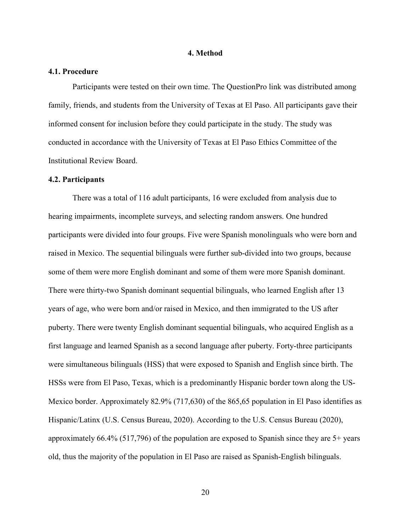#### **4. Method**

## **4.1. Procedure**

Participants were tested on their own time. The QuestionPro link was distributed among family, friends, and students from the University of Texas at El Paso. All participants gave their informed consent for inclusion before they could participate in the study. The study was conducted in accordance with the University of Texas at El Paso Ethics Committee of the Institutional Review Board.

#### **4.2. Participants**

There was a total of 116 adult participants, 16 were excluded from analysis due to hearing impairments, incomplete surveys, and selecting random answers. One hundred participants were divided into four groups. Five were Spanish monolinguals who were born and raised in Mexico. The sequential bilinguals were further sub-divided into two groups, because some of them were more English dominant and some of them were more Spanish dominant. There were thirty-two Spanish dominant sequential bilinguals, who learned English after 13 years of age, who were born and/or raised in Mexico, and then immigrated to the US after puberty. There were twenty English dominant sequential bilinguals, who acquired English as a first language and learned Spanish as a second language after puberty. Forty-three participants were simultaneous bilinguals (HSS) that were exposed to Spanish and English since birth. The HSSs were from El Paso, Texas, which is a predominantly Hispanic border town along the US-Mexico border. Approximately 82.9% (717,630) of the 865,65 population in El Paso identifies as Hispanic/Latinx (U.S. Census Bureau, 2020). According to the U.S. Census Bureau (2020), approximately 66.4% (517,796) of the population are exposed to Spanish since they are 5+ years old, thus the majority of the population in El Paso are raised as Spanish-English bilinguals.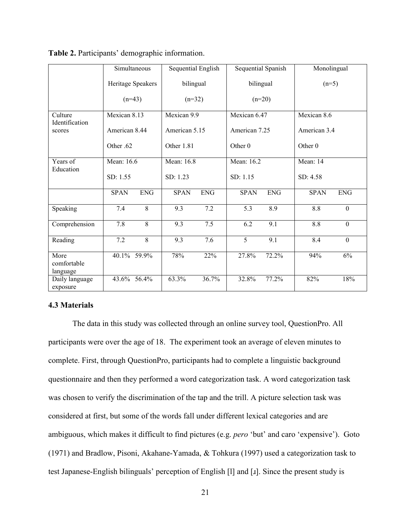|                                 |               | Simultaneous      | Sequential English |            | Sequential Spanish |            | Monolingual        |                  |
|---------------------------------|---------------|-------------------|--------------------|------------|--------------------|------------|--------------------|------------------|
|                                 |               | Heritage Speakers | bilingual          |            | bilingual          |            | $(n=5)$            |                  |
|                                 | $(n=43)$      |                   | $(n=32)$           |            |                    | $(n=20)$   |                    |                  |
| Culture                         | Mexican 8.13  |                   | Mexican 9.9        |            | Mexican 6.47       |            | Mexican 8.6        |                  |
| Identification<br>scores        | American 8.44 |                   | American 5.15      |            | American 7.25      |            | American 3.4       |                  |
|                                 | Other .62     |                   | Other 1.81         |            | Other <sub>0</sub> |            | Other <sub>0</sub> |                  |
| Years of                        | Mean: 16.6    |                   | Mean: 16.8         |            | Mean: 16.2         |            | Mean: 14           |                  |
| Education                       | SD: 1.55      |                   | SD: 1.23           |            | SD: 1.15           |            | SD: 4.58           |                  |
|                                 | <b>SPAN</b>   | <b>ENG</b>        | <b>SPAN</b>        | <b>ENG</b> | <b>SPAN</b>        | <b>ENG</b> | <b>SPAN</b>        | <b>ENG</b>       |
| Speaking                        | 7.4           | $\overline{8}$    | 9.3                | 7.2        | 5.3                | 8.9        | 8.8                | $\mathbf{0}$     |
| Comprehension                   | 7.8           | 8                 | 9.3                | 7.5        | 6.2                | 9.1        | 8.8                | $\boldsymbol{0}$ |
| Reading                         | 7.2           | 8                 | 9.3                | 7.6        | 5                  | 9.1        | 8.4                | $\mathbf{0}$     |
| More<br>comfortable<br>language |               | 40.1% 59.9%       | 78%                | 22%        | 27.8%              | 72.2%      | 94%                | 6%               |
| Daily language<br>exposure      |               | 43.6% 56.4%       | 63.3%              | 36.7%      | 32.8%              | 77.2%      | 82%                | 18%              |

|  |  | Table 2. Participants' demographic information. |  |  |
|--|--|-------------------------------------------------|--|--|
|  |  |                                                 |  |  |

### **4.3 Materials**

The data in this study was collected through an online survey tool, QuestionPro. All participants were over the age of 18. The experiment took an average of eleven minutes to complete. First, through QuestionPro, participants had to complete a linguistic background questionnaire and then they performed a word categorization task. A word categorization task was chosen to verify the discrimination of the tap and the trill. A picture selection task was considered at first, but some of the words fall under different lexical categories and are ambiguous, which makes it difficult to find pictures (e.g. *pero* 'but' and caro 'expensive'). Goto (1971) and Bradlow, Pisoni, Akahane-Yamada, & Tohkura (1997) used a categorization task to test Japanese-English bilinguals' perception of English [l] and [ɹ]. Since the present study is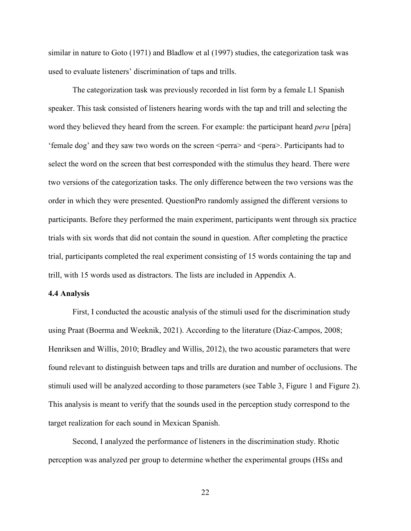similar in nature to Goto (1971) and Bladlow et al (1997) studies, the categorization task was used to evaluate listeners' discrimination of taps and trills.

The categorization task was previously recorded in list form by a female L1 Spanish speaker. This task consisted of listeners hearing words with the tap and trill and selecting the word they believed they heard from the screen. For example: the participant heard *pera* [péra] 'female dog' and they saw two words on the screen <perra> and <pera>. Participants had to select the word on the screen that best corresponded with the stimulus they heard. There were two versions of the categorization tasks. The only difference between the two versions was the order in which they were presented. QuestionPro randomly assigned the different versions to participants. Before they performed the main experiment, participants went through six practice trials with six words that did not contain the sound in question. After completing the practice trial, participants completed the real experiment consisting of 15 words containing the tap and trill, with 15 words used as distractors. The lists are included in Appendix A.

### **4.4 Analysis**

First, I conducted the acoustic analysis of the stimuli used for the discrimination study using Praat (Boerma and Weeknik, 2021). According to the literature (Diaz-Campos, 2008; Henriksen and Willis, 2010; Bradley and Willis, 2012), the two acoustic parameters that were found relevant to distinguish between taps and trills are duration and number of occlusions. The stimuli used will be analyzed according to those parameters (see Table 3, Figure 1 and Figure 2). This analysis is meant to verify that the sounds used in the perception study correspond to the target realization for each sound in Mexican Spanish.

Second, I analyzed the performance of listeners in the discrimination study. Rhotic perception was analyzed per group to determine whether the experimental groups (HSs and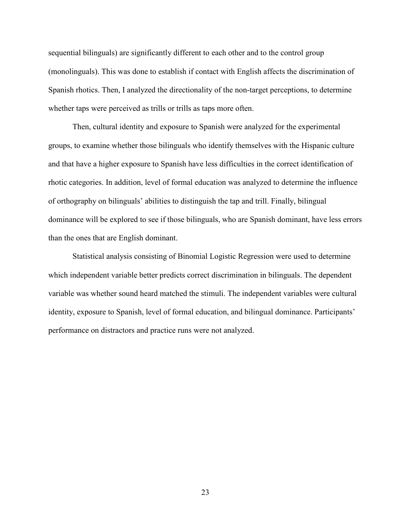sequential bilinguals) are significantly different to each other and to the control group (monolinguals). This was done to establish if contact with English affects the discrimination of Spanish rhotics. Then, I analyzed the directionality of the non-target perceptions, to determine whether taps were perceived as trills or trills as taps more often.

Then, cultural identity and exposure to Spanish were analyzed for the experimental groups, to examine whether those bilinguals who identify themselves with the Hispanic culture and that have a higher exposure to Spanish have less difficulties in the correct identification of rhotic categories. In addition, level of formal education was analyzed to determine the influence of orthography on bilinguals' abilities to distinguish the tap and trill. Finally, bilingual dominance will be explored to see if those bilinguals, who are Spanish dominant, have less errors than the ones that are English dominant.

Statistical analysis consisting of Binomial Logistic Regression were used to determine which independent variable better predicts correct discrimination in bilinguals. The dependent variable was whether sound heard matched the stimuli. The independent variables were cultural identity, exposure to Spanish, level of formal education, and bilingual dominance. Participants' performance on distractors and practice runs were not analyzed.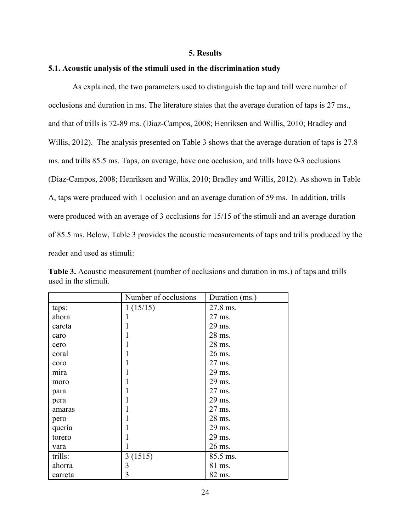### **5. Results**

#### **5.1. Acoustic analysis of the stimuli used in the discrimination study**

As explained, the two parameters used to distinguish the tap and trill were number of occlusions and duration in ms. The literature states that the average duration of taps is 27 ms., and that of trills is 72-89 ms. (Diaz-Campos, 2008; Henriksen and Willis, 2010; Bradley and Willis, 2012). The analysis presented on Table 3 shows that the average duration of taps is 27.8 ms. and trills 85.5 ms. Taps, on average, have one occlusion, and trills have 0-3 occlusions (Diaz-Campos, 2008; Henriksen and Willis, 2010; Bradley and Willis, 2012). As shown in Table A, taps were produced with 1 occlusion and an average duration of 59 ms. In addition, trills were produced with an average of 3 occlusions for 15/15 of the stimuli and an average duration of 85.5 ms. Below, Table 3 provides the acoustic measurements of taps and trills produced by the reader and used as stimuli:

|         | Number of occlusions    | Duration (ms.) |
|---------|-------------------------|----------------|
| taps:   | 1(15/15)                | 27.8 ms.       |
| ahora   | 1                       | 27 ms.         |
| careta  | 1                       | 29 ms.         |
| caro    | 1                       | 28 ms.         |
| cero    | 1                       | 28 ms.         |
| coral   | 1                       | 26 ms.         |
| coro    | 1                       | 27 ms.         |
| mira    | 1                       | 29 ms.         |
| moro    | 1                       | 29 ms.         |
| para    | 1                       | 27 ms.         |
| pera    | 1                       | 29 ms.         |
| amaras  | 1                       | 27 ms.         |
| pero    | 1                       | 28 ms.         |
| quería  | 1                       | 29 ms.         |
| torero  | 1                       | 29 ms.         |
| vara    |                         | 26 ms.         |
| trills: | 3(1515)                 | 85.5 ms.       |
| ahorra  | $\overline{\mathbf{3}}$ | 81 ms.         |
| carreta | 3                       | 82 ms.         |

**Table 3.** Acoustic measurement (number of occlusions and duration in ms.) of taps and trills used in the stimuli.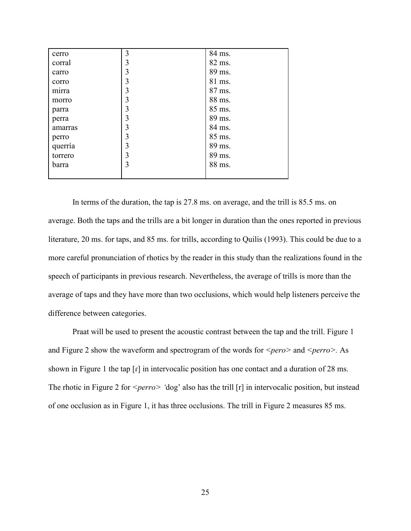| cerro   | 3              | 84 ms. |
|---------|----------------|--------|
| corral  | 3              | 82 ms. |
| carro   | 3              | 89 ms. |
| corro   | 3              | 81 ms. |
| mırra   | $\overline{3}$ | 87 ms. |
| morro   | 3              | 88 ms. |
| parra   | 3              | 85 ms. |
| perra   | 3              | 89 ms. |
| amarras | $\overline{3}$ | 84 ms. |
| perro   | 3              | 85 ms. |
| querría | $\overline{3}$ | 89 ms. |
| torrero | $\overline{3}$ | 89 ms. |
| barra   | 3              | 88 ms. |
|         |                |        |

In terms of the duration, the tap is 27.8 ms. on average, and the trill is 85.5 ms. on average. Both the taps and the trills are a bit longer in duration than the ones reported in previous literature, 20 ms. for taps, and 85 ms. for trills, according to Quilis (1993). This could be due to a more careful pronunciation of rhotics by the reader in this study than the realizations found in the speech of participants in previous research. Nevertheless, the average of trills is more than the average of taps and they have more than two occlusions, which would help listeners perceive the difference between categories.

Praat will be used to present the acoustic contrast between the tap and the trill. Figure 1 and Figure 2 show the waveform and spectrogram of the words for *<pero>* and *<perro>*. As shown in Figure 1 the tap  $\lceil \mathbf{r} \rceil$  in intervocalic position has one contact and a duration of 28 ms. The rhotic in Figure 2 for *<perro>* 'dog' also has the trill [r] in intervocalic position, but instead of one occlusion as in Figure 1, it has three occlusions. The trill in Figure 2 measures 85 ms.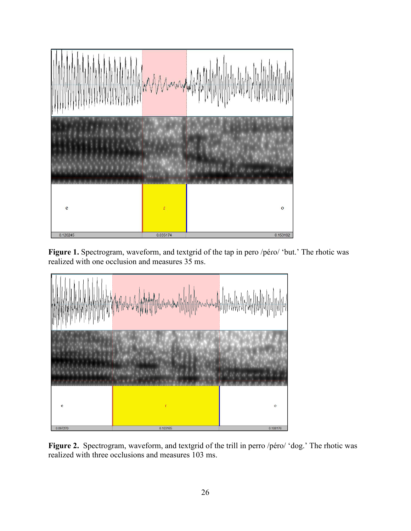

**Figure 1.** Spectrogram, waveform, and textgrid of the tap in pero /péɾo/ 'but.' The rhotic was realized with one occlusion and measures 35 ms.



Figure 2. Spectrogram, waveform, and textgrid of the trill in perro /péro/ 'dog.' The rhotic was realized with three occlusions and measures 103 ms.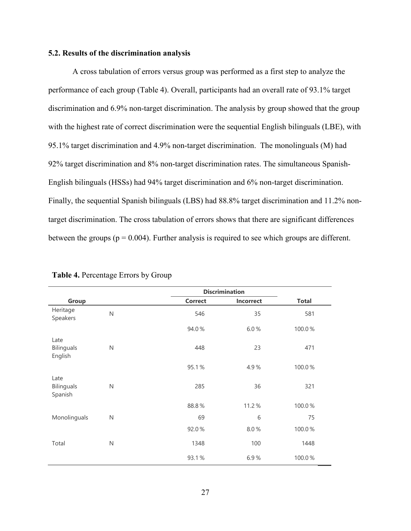### **5.2. Results of the discrimination analysis**

A cross tabulation of errors versus group was performed as a first step to analyze the performance of each group (Table 4). Overall, participants had an overall rate of 93.1% target discrimination and 6.9% non-target discrimination. The analysis by group showed that the group with the highest rate of correct discrimination were the sequential English bilinguals (LBE), with 95.1% target discrimination and 4.9% non-target discrimination. The monolinguals (M) had 92% target discrimination and 8% non-target discrimination rates. The simultaneous Spanish-English bilinguals (HSSs) had 94% target discrimination and 6% non-target discrimination. Finally, the sequential Spanish bilinguals (LBS) had 88.8% target discrimination and 11.2% nontarget discrimination. The cross tabulation of errors shows that there are significant differences between the groups ( $p = 0.004$ ). Further analysis is required to see which groups are different.

|                                      |              |                | <b>Discrimination</b> |              |  |
|--------------------------------------|--------------|----------------|-----------------------|--------------|--|
| Group                                |              | <b>Correct</b> | Incorrect             | <b>Total</b> |  |
| Heritage<br>Speakers                 | $\mathsf{N}$ | 546            | 35                    | 581          |  |
|                                      |              | 94.0%          | 6.0%                  | 100.0%       |  |
| Late<br><b>Bilinguals</b><br>English | $\mathsf{N}$ | 448            | 23                    | 471          |  |
|                                      |              | 95.1%          | 4.9%                  | 100.0%       |  |
| Late<br><b>Bilinguals</b><br>Spanish | $\mathsf{N}$ | 285            | 36                    | 321          |  |
|                                      |              | 88.8%          | 11.2%                 | 100.0%       |  |
| Monolinguals                         | $\mathsf{N}$ | 69             | 6                     | 75           |  |
|                                      |              | 92.0%          | 8.0%                  | 100.0%       |  |
| Total                                | N            | 1348           | 100                   | 1448         |  |
|                                      |              | 93.1%          | 6.9%                  | 100.0%       |  |

|  | Table 4. Percentage Errors by Group |  |  |  |
|--|-------------------------------------|--|--|--|
|--|-------------------------------------|--|--|--|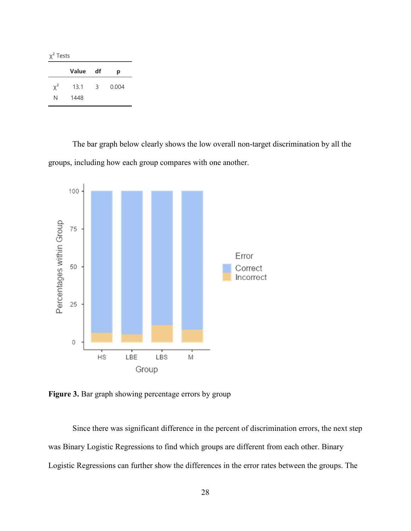χ² Tests

|          | <b>Value</b> | df             | р     |
|----------|--------------|----------------|-------|
| $\chi^2$ | 13.1         | $\overline{3}$ | 0.004 |
| N        | 1448         |                |       |

The bar graph below clearly shows the low overall non-target discrimination by all the groups, including how each group compares with one another.



Figure 3. Bar graph showing percentage errors by group

Since there was significant difference in the percent of discrimination errors, the next step was Binary Logistic Regressions to find which groups are different from each other. Binary Logistic Regressions can further show the differences in the error rates between the groups. The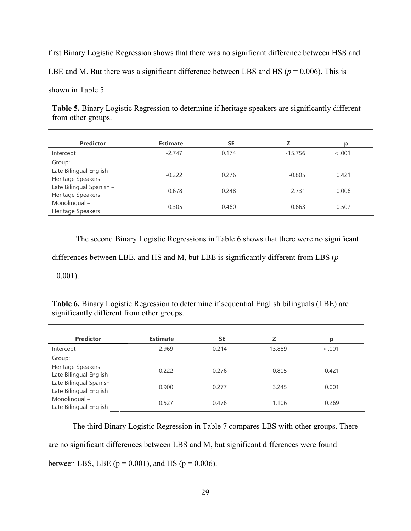first Binary Logistic Regression shows that there was no significant difference between HSS and

LBE and M. But there was a significant difference between LBS and HS ( $p = 0.006$ ). This is

shown in Table 5.

**Table 5.** Binary Logistic Regression to determine if heritage speakers are significantly different from other groups.

| <b>Predictor</b>                              | <b>Estimate</b> | <b>SE</b> | 7         | р       |
|-----------------------------------------------|-----------------|-----------|-----------|---------|
| Intercept                                     | $-2.747$        | 0.174     | $-15.756$ | < 0.001 |
| Group:                                        |                 |           |           |         |
| Late Bilingual English -<br>Heritage Speakers | $-0.222$        | 0.276     | $-0.805$  | 0.421   |
| Late Bilingual Spanish -<br>Heritage Speakers | 0.678           | 0.248     | 2.731     | 0.006   |
| Monolingual-<br>Heritage Speakers             | 0.305           | 0.460     | 0.663     | 0.507   |

The second Binary Logistic Regressions in Table 6 shows that there were no significant

differences between LBE, and HS and M, but LBE is significantly different from LBS (*p*

 $=0.001$ ).

**Table 6.** Binary Logistic Regression to determine if sequential English bilinguals (LBE) are significantly different from other groups.

| <b>Predictor</b>                                   | <b>Estimate</b> | <b>SE</b> | z         | Ŋ     |  |
|----------------------------------------------------|-----------------|-----------|-----------|-------|--|
| Intercept                                          | $-2.969$        | 0.214     | $-13.889$ | 0.001 |  |
| Group:                                             |                 |           |           |       |  |
| Heritage Speakers -<br>Late Bilingual English      | 0.222           | 0.276     | 0.805     | 0.421 |  |
| Late Bilingual Spanish -<br>Late Bilingual English | 0.900           | 0.277     | 3.245     | 0.001 |  |
| Monolingual-<br>Late Bilingual English             | 0.527           | 0.476     | 1.106     | 0.269 |  |

The third Binary Logistic Regression in Table 7 compares LBS with other groups. There are no significant differences between LBS and M, but significant differences were found between LBS, LBE ( $p = 0.001$ ), and HS ( $p = 0.006$ ).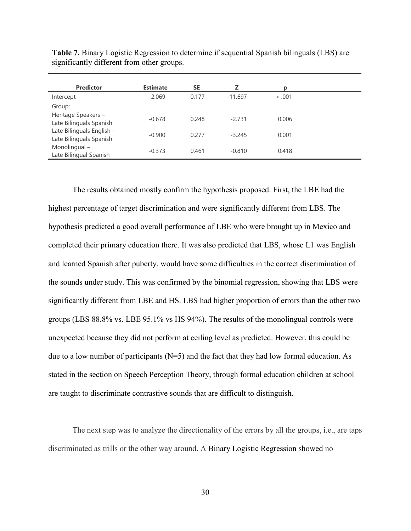| <b>Predictor</b>                                     | <b>Estimate</b> | <b>SE</b> | z         | ю      |  |
|------------------------------------------------------|-----------------|-----------|-----------|--------|--|
| Intercept                                            | $-2.069$        | 0.177     | $-11.697$ | < .001 |  |
| Group:                                               |                 |           |           |        |  |
| Heritage Speakers -<br>Late Bilinguals Spanish       | $-0.678$        | 0.248     | $-2.731$  | 0.006  |  |
| Late Bilinguals English -<br>Late Bilinguals Spanish | $-0.900$        | 0.277     | $-3.245$  | 0.001  |  |
| Monolingual-<br>Late Bilingual Spanish               | $-0.373$        | 0.461     | $-0.810$  | 0.418  |  |

**Table 7.** Binary Logistic Regression to determine if sequential Spanish bilinguals (LBS) are significantly different from other groups.

The results obtained mostly confirm the hypothesis proposed. First, the LBE had the highest percentage of target discrimination and were significantly different from LBS. The hypothesis predicted a good overall performance of LBE who were brought up in Mexico and completed their primary education there. It was also predicted that LBS, whose L1 was English and learned Spanish after puberty, would have some difficulties in the correct discrimination of the sounds under study. This was confirmed by the binomial regression, showing that LBS were significantly different from LBE and HS. LBS had higher proportion of errors than the other two groups (LBS 88.8% vs. LBE 95.1% vs HS 94%). The results of the monolingual controls were unexpected because they did not perform at ceiling level as predicted. However, this could be due to a low number of participants  $(N=5)$  and the fact that they had low formal education. As stated in the section on Speech Perception Theory, through formal education children at school are taught to discriminate contrastive sounds that are difficult to distinguish.

The next step was to analyze the directionality of the errors by all the groups, i.e., are taps discriminated as trills or the other way around. A Binary Logistic Regression showed no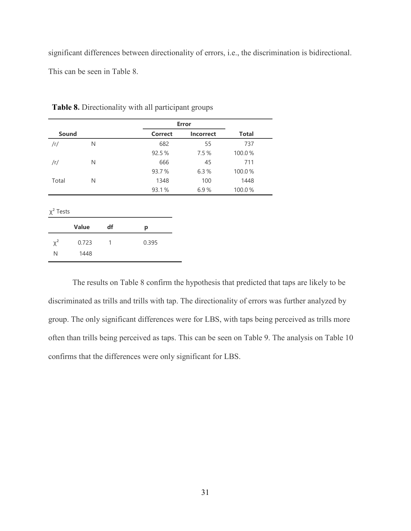significant differences between directionality of errors, i.e., the discrimination is bidirectional. This can be seen in Table 8.

|        |   |                | <b>Error</b>     |              |  |
|--------|---|----------------|------------------|--------------|--|
| Sound  |   | <b>Correct</b> | <b>Incorrect</b> | <b>Total</b> |  |
| $/$ r/ | N | 682            | 55               | 737          |  |
|        |   | 92.5%          | 7.5%             | 100.0%       |  |
| /r/    | N | 666            | 45               | 711          |  |
|        |   | 93.7%          | 6.3%             | 100.0%       |  |
| Total  | N | 1348           | 100              | 1448         |  |
|        |   | 93.1%          | 6.9%             | 100.0%       |  |
|        |   |                |                  |              |  |

**Table 8.** Directionality with all participant groups

χ² Tests

|          | <b>Value</b> | df | р     |
|----------|--------------|----|-------|
| $\chi^2$ | 0.723        |    | 0.395 |
| Ν        | 1448         |    |       |

The results on Table 8 confirm the hypothesis that predicted that taps are likely to be discriminated as trills and trills with tap. The directionality of errors was further analyzed by group. The only significant differences were for LBS, with taps being perceived as trills more often than trills being perceived as taps. This can be seen on Table 9. The analysis on Table 10 confirms that the differences were only significant for LBS.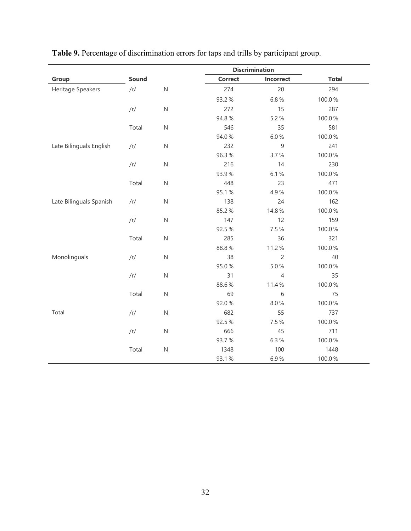|                         |            |             |                | <b>Discrimination</b> |              |
|-------------------------|------------|-------------|----------------|-----------------------|--------------|
| Group                   | Sound      |             | <b>Correct</b> | Incorrect             | <b>Total</b> |
| Heritage Speakers       | /r/        | $\mathsf N$ | 274            | 20                    | 294          |
|                         |            |             | 93.2%          | 6.8%                  | 100.0%       |
|                         | /r/        | ${\sf N}$   | 272            | 15                    | 287          |
|                         |            |             | 94.8%          | 5.2%                  | 100.0%       |
|                         | Total      | ${\sf N}$   | 546            | 35                    | 581          |
|                         |            |             | 94.0%          | 6.0%                  | 100.0%       |
| Late Bilinguals English | $/\Gamma/$ | ${\sf N}$   | 232            | $\mathsf 9$           | 241          |
|                         |            |             | 96.3%          | 3.7%                  | 100.0%       |
|                         | /r/        | ${\sf N}$   | 216            | 14                    | 230          |
|                         |            |             | 93.9%          | 6.1%                  | 100.0%       |
|                         | Total      | ${\sf N}$   | 448            | 23                    | 471          |
|                         |            |             | 95.1%          | 4.9%                  | 100.0%       |
| Late Bilinguals Spanish | $/\Gamma/$ | ${\sf N}$   | 138            | 24                    | 162          |
|                         |            |             | 85.2%          | 14.8%                 | 100.0%       |
|                         | /r/        | ${\sf N}$   | 147            | 12                    | 159          |
|                         |            |             | 92.5%          | 7.5%                  | 100.0%       |
|                         | Total      | ${\sf N}$   | 285            | 36                    | 321          |
|                         |            |             | 88.8%          | 11.2%                 | 100.0%       |
| Monolinguals            | /r/        | $\mathsf N$ | 38             | $\overline{c}$        | 40           |
|                         |            |             | 95.0%          | 5.0%                  | 100.0%       |
|                         | /r/        | ${\sf N}$   | 31             | $\overline{4}$        | 35           |
|                         |            |             | 88.6%          | 11.4%                 | 100.0%       |
|                         | Total      | ${\sf N}$   | 69             | 6                     | 75           |
|                         |            |             | 92.0%          | 8.0%                  | 100.0%       |
| Total                   | /r/        | ${\sf N}$   | 682            | 55                    | 737          |
|                         |            |             | 92.5%          | 7.5%                  | 100.0%       |
|                         | /r/        | ${\sf N}$   | 666            | 45                    | 711          |
|                         |            |             | 93.7%          | 6.3%                  | 100.0%       |
|                         | Total      | ${\sf N}$   | 1348           | 100                   | 1448         |
|                         |            |             | 93.1%          | 6.9%                  | 100.0%       |

**Table 9.** Percentage of discrimination errors for taps and trills by participant group.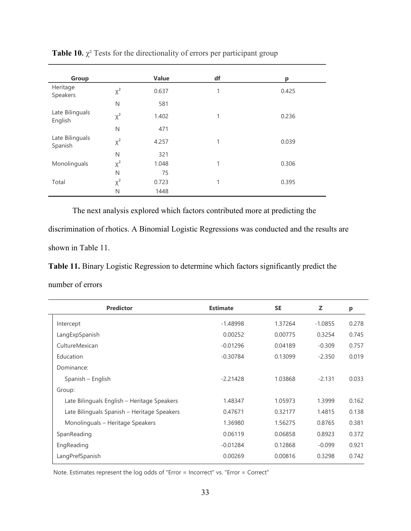| Group                      |          | Value | df           | р     |
|----------------------------|----------|-------|--------------|-------|
| Heritage<br>Speakers       | $\chi^2$ | 0.637 | 1            | 0.425 |
|                            | N        | 581   |              |       |
| Late Bilinguals<br>English | $\chi^2$ | 1.402 | $\mathbf{1}$ | 0.236 |
|                            | N        | 471   |              |       |
| Late Bilinguals<br>Spanish | $\chi^2$ | 4.257 | 1            | 0.039 |
|                            | N        | 321   |              |       |
| Monolinguals               | $\chi^2$ | 1.048 | 1            | 0.306 |
|                            | N        | 75    |              |       |
| Total                      | $\chi^2$ | 0.723 | 1            | 0.395 |
|                            | N        | 1448  |              |       |

**Table 10.**  $\chi^2$  Tests for the directionality of errors per participant group

The next analysis explored which factors contributed more at predicting the

discrimination of rhotics. A Binomial Logistic Regressions was conducted and the results are shown in Table 11.

**Table 11.** Binary Logistic Regression to determine which factors significantly predict the

number of errors

| <b>Predictor</b>                            | <b>Estimate</b> | <b>SE</b> | z         | p     |
|---------------------------------------------|-----------------|-----------|-----------|-------|
| Intercept                                   | $-1.48998$      | 1.37264   | $-1.0855$ | 0.278 |
| LangExpSpanish                              | 0.00252         | 0.00775   | 0.3254    | 0.745 |
| CultureMexican                              | $-0.01296$      | 0.04189   | $-0.309$  | 0.757 |
| Education                                   | $-0.30784$      | 0.13099   | $-2.350$  | 0.019 |
| Dominance:                                  |                 |           |           |       |
| Spanish – English                           | $-2.21428$      | 1.03868   | $-2.131$  | 0.033 |
| Group:                                      |                 |           |           |       |
| Late Bilinguals English – Heritage Speakers | 1.48347         | 1.05973   | 1.3999    | 0.162 |
| Late Bilinguals Spanish - Heritage Speakers | 0.47671         | 0.32177   | 1.4815    | 0.138 |
| Monolinguals - Heritage Speakers            | 1.36980         | 1.56275   | 0.8765    | 0.381 |
| SpanReading                                 | 0.06119         | 0.06858   | 0.8923    | 0.372 |
| EngReading                                  | $-0.01284$      | 0.12868   | $-0.099$  | 0.921 |
| LangPrefSpanish                             | 0.00269         | 0.00816   | 0.3298    | 0.742 |
|                                             |                 |           |           |       |

Note. Estimates represent the log odds of "Error = Incorrect" vs. "Error = Correct"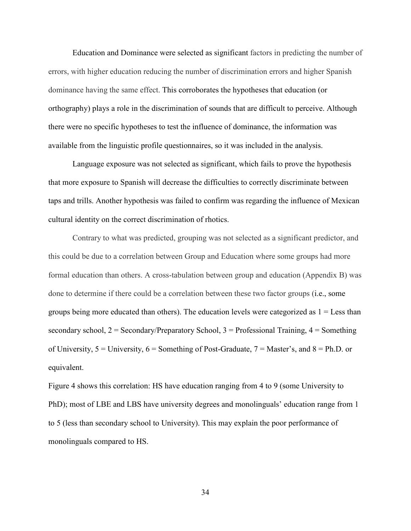Education and Dominance were selected as significant factors in predicting the number of errors, with higher education reducing the number of discrimination errors and higher Spanish dominance having the same effect. This corroborates the hypotheses that education (or orthography) plays a role in the discrimination of sounds that are difficult to perceive. Although there were no specific hypotheses to test the influence of dominance, the information was available from the linguistic profile questionnaires, so it was included in the analysis.

Language exposure was not selected as significant, which fails to prove the hypothesis that more exposure to Spanish will decrease the difficulties to correctly discriminate between taps and trills. Another hypothesis was failed to confirm was regarding the influence of Mexican cultural identity on the correct discrimination of rhotics.

Contrary to what was predicted, grouping was not selected as a significant predictor, and this could be due to a correlation between Group and Education where some groups had more formal education than others. A cross-tabulation between group and education (Appendix B) was done to determine if there could be a correlation between these two factor groups (i.e., some groups being more educated than others). The education levels were categorized as  $1 =$  Less than secondary school,  $2 =$  Secondary/Preparatory School,  $3 =$  Professional Training,  $4 =$  Something of University,  $5 =$  University,  $6 =$  Something of Post-Graduate,  $7 =$  Master's, and  $8 =$  Ph.D. or equivalent.

Figure 4 shows this correlation: HS have education ranging from 4 to 9 (some University to PhD); most of LBE and LBS have university degrees and monolinguals' education range from 1 to 5 (less than secondary school to University). This may explain the poor performance of monolinguals compared to HS.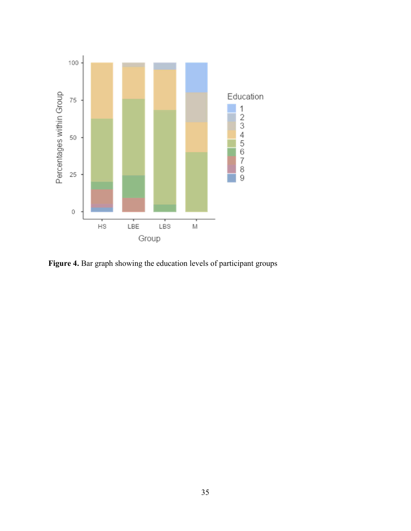

**Figure 4.** Bar graph showing the education levels of participant groups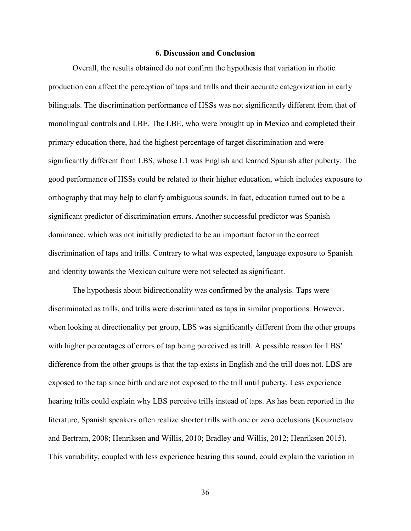## **6. Discussion and Conclusion**

Overall, the results obtained do not confirm the hypothesis that variation in rhotic production can affect the perception of taps and trills and their accurate categorization in early bilinguals. The discrimination performance of HSSs was not significantly different from that of monolingual controls and LBE. The LBE, who were brought up in Mexico and completed their primary education there, had the highest percentage of target discrimination and were significantly different from LBS, whose L1 was English and learned Spanish after puberty. The good performance of HSSs could be related to their higher education, which includes exposure to orthography that may help to clarify ambiguous sounds. In fact, education turned out to be a significant predictor of discrimination errors. Another successful predictor was Spanish dominance, which was not initially predicted to be an important factor in the correct discrimination of taps and trills. Contrary to what was expected, language exposure to Spanish and identity towards the Mexican culture were not selected as significant.

The hypothesis about bidirectionality was confirmed by the analysis. Taps were discriminated as trills, and trills were discriminated as taps in similar proportions. However, when looking at directionality per group, LBS was significantly different from the other groups with higher percentages of errors of tap being perceived as trill. A possible reason for LBS' difference from the other groups is that the tap exists in English and the trill does not. LBS are exposed to the tap since birth and are not exposed to the trill until puberty. Less experience hearing trills could explain why LBS perceive trills instead of taps. As has been reported in the literature, Spanish speakers often realize shorter trills with one or zero occlusions (Kouznetsov and Bertram, 2008; Henriksen and Willis, 2010; Bradley and Willis, 2012; Henriksen 2015). This variability, coupled with less experience hearing this sound, could explain the variation in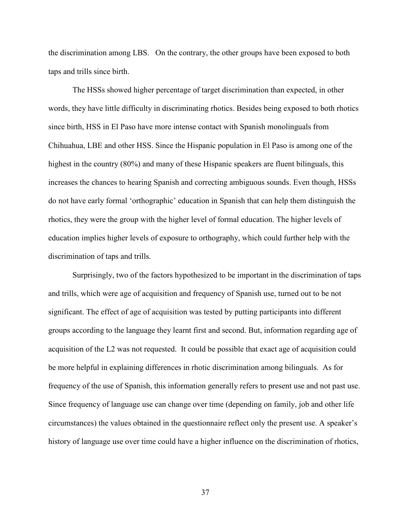the discrimination among LBS. On the contrary, the other groups have been exposed to both taps and trills since birth.

The HSSs showed higher percentage of target discrimination than expected, in other words, they have little difficulty in discriminating rhotics. Besides being exposed to both rhotics since birth, HSS in El Paso have more intense contact with Spanish monolinguals from Chihuahua, LBE and other HSS. Since the Hispanic population in El Paso is among one of the highest in the country (80%) and many of these Hispanic speakers are fluent bilinguals, this increases the chances to hearing Spanish and correcting ambiguous sounds. Even though, HSSs do not have early formal 'orthographic' education in Spanish that can help them distinguish the rhotics, they were the group with the higher level of formal education. The higher levels of education implies higher levels of exposure to orthography, which could further help with the discrimination of taps and trills.

Surprisingly, two of the factors hypothesized to be important in the discrimination of taps and trills, which were age of acquisition and frequency of Spanish use, turned out to be not significant. The effect of age of acquisition was tested by putting participants into different groups according to the language they learnt first and second. But, information regarding age of acquisition of the L2 was not requested. It could be possible that exact age of acquisition could be more helpful in explaining differences in rhotic discrimination among bilinguals. As for frequency of the use of Spanish, this information generally refers to present use and not past use. Since frequency of language use can change over time (depending on family, job and other life circumstances) the values obtained in the questionnaire reflect only the present use. A speaker's history of language use over time could have a higher influence on the discrimination of rhotics,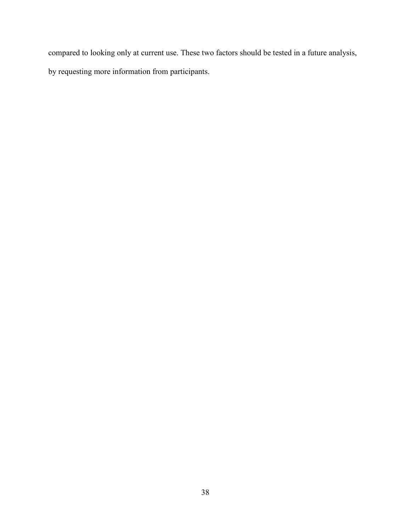compared to looking only at current use. These two factors should be tested in a future analysis, by requesting more information from participants.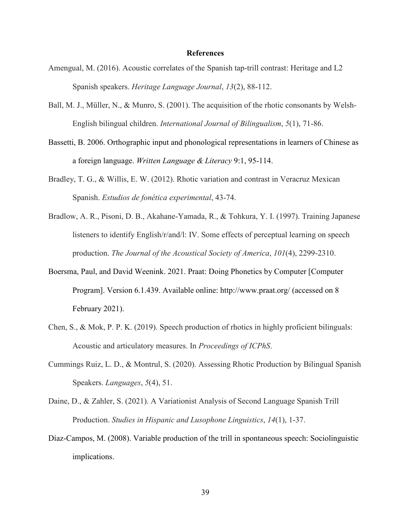#### **References**

- Amengual, M. (2016). Acoustic correlates of the Spanish tap-trill contrast: Heritage and L2 Spanish speakers. *Heritage Language Journal*, *13*(2), 88-112.
- Ball, M. J., Müller, N., & Munro, S. (2001). The acquisition of the rhotic consonants by Welsh- English bilingual children. *International Journal of Bilingualism*, *5*(1), 71-86.
- Bassetti, B. 2006. Orthographic input and phonological representations in learners of Chinese as a foreign language. *Written Language & Literacy* 9:1, 95-114.
- Bradley, T. G., & Willis, E. W. (2012). Rhotic variation and contrast in Veracruz Mexican Spanish. *Estudios de fonética experimental*, 43-74.
- Bradlow, A. R., Pisoni, D. B., Akahane-Yamada, R., & Tohkura, Y. I. (1997). Training Japanese listeners to identify English/r/and/l: IV. Some effects of perceptual learning on speech production. *The Journal of the Acoustical Society of America*, *101*(4), 2299-2310.
- Boersma, Paul, and David Weenink. 2021. Praat: Doing Phonetics by Computer [Computer Program]. Version 6.1.439. Available online: http://www.praat.org/ (accessed on 8 February 2021).
- Chen, S., & Mok, P. P. K. (2019). Speech production of rhotics in highly proficient bilinguals: Acoustic and articulatory measures. In *Proceedings of ICPhS*.
- Cummings Ruiz, L. D., & Montrul, S. (2020). Assessing Rhotic Production by Bilingual Spanish Speakers. *Languages*, *5*(4), 51.
- Daine, D., & Zahler, S. (2021). A Variationist Analysis of Second Language Spanish Trill Production. *Studies in Hispanic and Lusophone Linguistics*, *14*(1), 1-37.
- Díaz-Campos, M. (2008). Variable production of the trill in spontaneous speech: Sociolinguistic implications.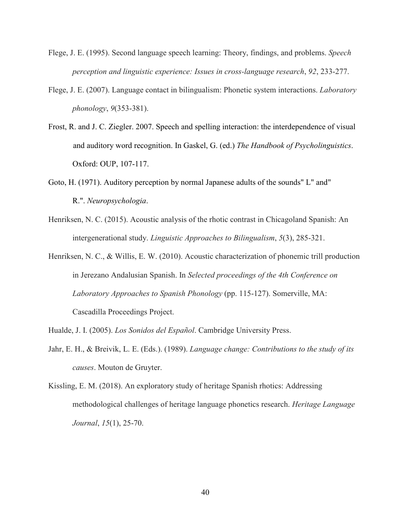- Flege, J. E. (1995). Second language speech learning: Theory, findings, and problems. *Speech perception and linguistic experience: Issues in cross-language research*, *92*, 233-277.
- Flege, J. E. (2007). Language contact in bilingualism: Phonetic system interactions. *Laboratory phonology*, *9*(353-381).
- Frost, R. and J. C. Ziegler. 2007. Speech and spelling interaction: the interdependence of visual and auditory word recognition. In Gaskel, G. (ed.) *The Handbook of Psycholinguistics*. Oxford: OUP, 107-117.
- Goto, H. (1971). Auditory perception by normal Japanese adults of the sounds" L" and" R.". *Neuropsychologia*.
- Henriksen, N. C. (2015). Acoustic analysis of the rhotic contrast in Chicagoland Spanish: An intergenerational study. *Linguistic Approaches to Bilingualism*, *5*(3), 285-321.
- Henriksen, N. C., & Willis, E. W. (2010). Acoustic characterization of phonemic trill production in Jerezano Andalusian Spanish. In *Selected proceedings of the 4th Conference on Laboratory Approaches to Spanish Phonology* (pp. 115-127). Somerville, MA: Cascadilla Proceedings Project.
- Hualde, J. I. (2005). *Los Sonidos del Español*. Cambridge University Press.
- Jahr, E. H., & Breivik, L. E. (Eds.). (1989). *Language change: Contributions to the study of its causes*. Mouton de Gruyter.
- Kissling, E. M. (2018). An exploratory study of heritage Spanish rhotics: Addressing methodological challenges of heritage language phonetics research. *Heritage Language Journal*, *15*(1), 25-70.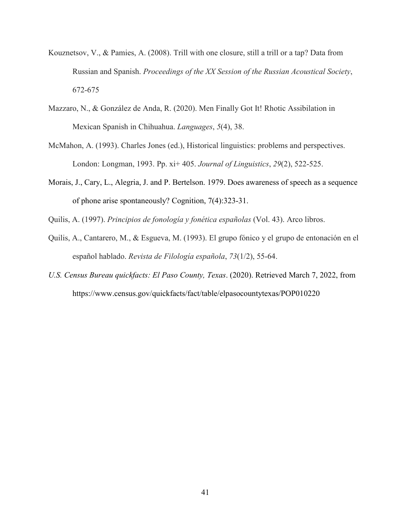- Kouznetsov, V., & Pamies, A. (2008). Trill with one closure, still a trill or a tap? Data from Russian and Spanish. *Proceedings of the XX Session of the Russian Acoustical Society*, 672-675
- Mazzaro, N., & González de Anda, R. (2020). Men Finally Got It! Rhotic Assibilation in Mexican Spanish in Chihuahua. *Languages*, *5*(4), 38.
- McMahon, A. (1993). Charles Jones (ed.), Historical linguistics: problems and perspectives. London: Longman, 1993. Pp. xi+ 405. *Journal of Linguistics*, *29*(2), 522-525.
- Morais, J., Cary, L., Alegria, J. and P. Bertelson. 1979. Does awareness of speech as a sequence of phone arise spontaneously? Cognition, 7(4):323-31.
- Quilis, A. (1997). *Principios de fonología y fonética españolas* (Vol. 43). Arco libros.
- Quilis, A., Cantarero, M., & Esgueva, M. (1993). El grupo fónico y el grupo de entonación en el español hablado. *Revista de Filología española*, *73*(1/2), 55-64.
- *U.S. Census Bureau quickfacts: El Paso County, Texas*. (2020). Retrieved March 7, 2022, from https://www.census.gov/quickfacts/fact/table/elpasocountytexas/POP010220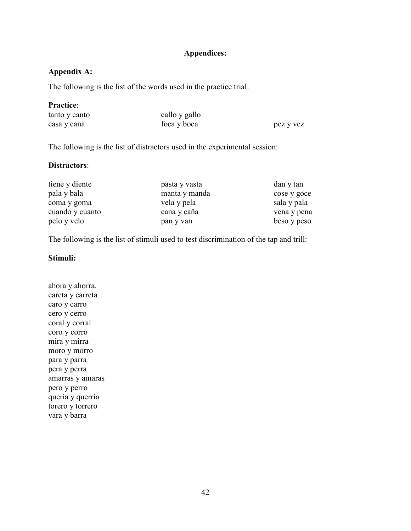# **Appendices:**

# **Appendix A:**

The following is the list of the words used in the practice trial:

## **Practice**:

| tanto y canto | callo y gallo |           |
|---------------|---------------|-----------|
| casa y cana   | foca y boca   | pez y vez |

The following is the list of distractors used in the experimental session:

## **Distractors**:

| tiene y diente  | pasta y vasta | dan y tan   |
|-----------------|---------------|-------------|
| pala y bala     | manta y manda | cose y goce |
| coma y goma     | vela y pela   | sala y pala |
| cuando y cuanto | cana y caña   | vena y pena |
| pelo y velo     | pan y van     | beso y peso |

The following is the list of stimuli used to test discrimination of the tap and trill:

## **Stimuli:**

ahora y ahorra. careta y carreta caro y carro cero y cerro coral y corral coro y corro mira y mirra moro y morro para y parra pera y perra amarras y amaras pero y perro quería y querría torero y torrero vara y barra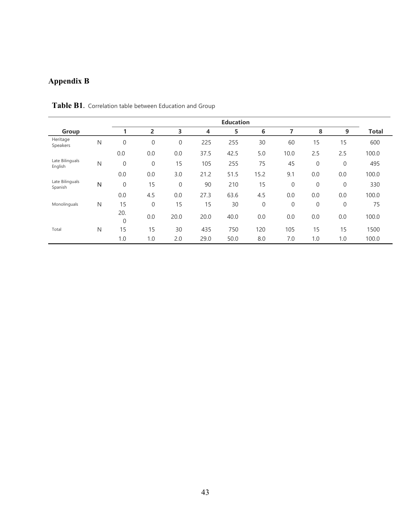# **Appendix B**

|                            |              | <b>Education</b> |                  |                  |      |      |              |                |          |              |              |
|----------------------------|--------------|------------------|------------------|------------------|------|------|--------------|----------------|----------|--------------|--------------|
| Group                      |              |                  | 2                | 3                | 4    | 5    | 6            |                | 8        | 9            | <b>Total</b> |
| Heritage<br>Speakers       | $\mathsf{N}$ | $\boldsymbol{0}$ | $\boldsymbol{0}$ | $\boldsymbol{0}$ | 225  | 255  | 30           | 60             | 15       | 15           | 600          |
|                            |              | 0.0              | 0.0              | 0.0              | 37.5 | 42.5 | 5.0          | 10.0           | 2.5      | 2.5          | 100.0        |
| Late Bilinguals<br>English | N            | $\mathbf{0}$     | $\mathbf{0}$     | 15               | 105  | 255  | 75           | 45             | $\theta$ | $\mathbf{0}$ | 495          |
|                            |              | 0.0              | 0.0              | 3.0              | 21.2 | 51.5 | 15.2         | 9.1            | 0.0      | 0.0          | 100.0        |
| Late Bilinguals<br>Spanish | N            | $\mathbf{0}$     | 15               | $\mathbf{0}$     | 90   | 210  | 15           | $\overline{0}$ | $\theta$ | $\mathbf{0}$ | 330          |
|                            |              | 0.0              | 4.5              | 0.0              | 27.3 | 63.6 | 4.5          | 0.0            | 0.0      | 0.0          | 100.0        |
| Monolinguals               | N            | 15               | $\mathbf{0}$     | 15               | 15   | 30   | $\mathbf{0}$ | $\mathbf{0}$   | $\theta$ | $\mathbf 0$  | 75           |
|                            |              | 20.<br>0         | 0.0              | 20.0             | 20.0 | 40.0 | 0.0          | 0.0            | 0.0      | 0.0          | 100.0        |
| Total                      | N            | 15               | 15               | 30               | 435  | 750  | 120          | 105            | 15       | 15           | 1500         |
|                            |              | 1.0              | 1.0              | 2.0              | 29.0 | 50.0 | 8.0          | 7.0            | 1.0      | 1.0          | 100.0        |

**Table B1.** Correlation table between Education and Group